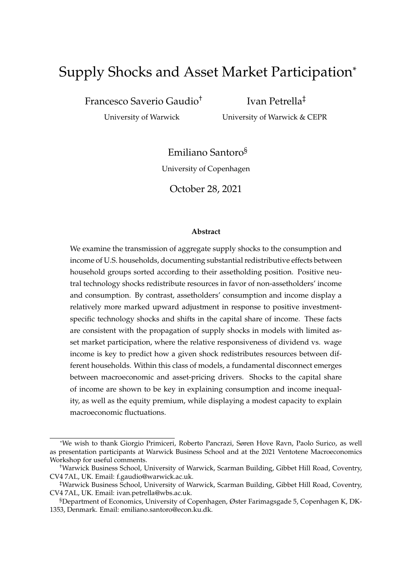# Supply Shocks and Asset Market Participation\*

Francesco Saverio Gaudio†

Ivan Petrella‡

University of Warwick

University of Warwick & CEPR

Emiliano Santoro§

University of Copenhagen

October 28, 2021

### **Abstract**

We examine the transmission of aggregate supply shocks to the consumption and income of U.S. households, documenting substantial redistributive effects between household groups sorted according to their assetholding position. Positive neutral technology shocks redistribute resources in favor of non-assetholders' income and consumption. By contrast, assetholders' consumption and income display a relatively more marked upward adjustment in response to positive investmentspecific technology shocks and shifts in the capital share of income. These facts are consistent with the propagation of supply shocks in models with limited asset market participation, where the relative responsiveness of dividend vs. wage income is key to predict how a given shock redistributes resources between different households. Within this class of models, a fundamental disconnect emerges between macroeconomic and asset-pricing drivers. Shocks to the capital share of income are shown to be key in explaining consumption and income inequality, as well as the equity premium, while displaying a modest capacity to explain macroeconomic fluctuations.

<sup>\*</sup>We wish to thank Giorgio Primiceri, Roberto Pancrazi, Søren Hove Ravn, Paolo Surico, as well as presentation participants at Warwick Business School and at the 2021 Ventotene Macroeconomics Workshop for useful comments.

<sup>†</sup>Warwick Business School, University of Warwick, Scarman Building, Gibbet Hill Road, Coventry, CV4 7AL, UK. Email: f.gaudio@warwick.ac.uk.

<sup>‡</sup>Warwick Business School, University of Warwick, Scarman Building, Gibbet Hill Road, Coventry, CV4 7AL, UK. Email: ivan.petrella@wbs.ac.uk.

<sup>§</sup>Department of Economics, University of Copenhagen, Øster Farimagsgade 5, Copenhagen K, DK-1353, Denmark. Email: emiliano.santoro@econ.ku.dk.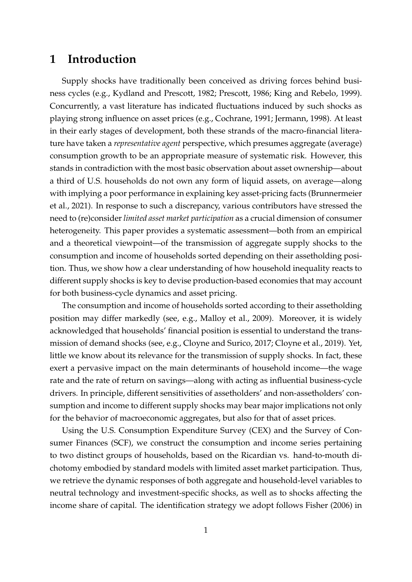# **1 Introduction**

Supply shocks have traditionally been conceived as driving forces behind business cycles (e.g., [Kydland and Prescott,](#page-35-0) [1982;](#page-35-0) [Prescott,](#page-35-1) [1986;](#page-35-1) [King and Rebelo,](#page-35-2) [1999\)](#page-35-2). Concurrently, a vast literature has indicated fluctuations induced by such shocks as playing strong influence on asset prices (e.g., [Cochrane,](#page-32-0) [1991;](#page-32-0) [Jermann,](#page-34-0) [1998\)](#page-34-0). At least in their early stages of development, both these strands of the macro-financial literature have taken a *representative agent* perspective, which presumes aggregate (average) consumption growth to be an appropriate measure of systematic risk. However, this stands in contradiction with the most basic observation about asset ownership—about a third of U.S. households do not own any form of liquid assets, on average—along with implying a poor performance in explaining key asset-pricing facts [\(Brunnermeier](#page-32-1) [et al.,](#page-32-1) [2021\)](#page-32-1). In response to such a discrepancy, various contributors have stressed the need to (re)consider *limited asset market participation* as a crucial dimension of consumer heterogeneity. This paper provides a systematic assessment—both from an empirical and a theoretical viewpoint—of the transmission of aggregate supply shocks to the consumption and income of households sorted depending on their assetholding position. Thus, we show how a clear understanding of how household inequality reacts to different supply shocks is key to devise production-based economies that may account for both business-cycle dynamics and asset pricing.

The consumption and income of households sorted according to their assetholding position may differ markedly (see, e.g., [Malloy et al.,](#page-35-3) [2009\)](#page-35-3). Moreover, it is widely acknowledged that households' financial position is essential to understand the transmission of demand shocks (see, e.g., [Cloyne and Surico,](#page-32-2) [2017;](#page-32-2) [Cloyne et al.,](#page-32-3) [2019\)](#page-32-3). Yet, little we know about its relevance for the transmission of supply shocks. In fact, these exert a pervasive impact on the main determinants of household income—the wage rate and the rate of return on savings—along with acting as influential business-cycle drivers. In principle, different sensitivities of assetholders' and non-assetholders' consumption and income to different supply shocks may bear major implications not only for the behavior of macroeconomic aggregates, but also for that of asset prices.

Using the U.S. Consumption Expenditure Survey (CEX) and the Survey of Consumer Finances (SCF), we construct the consumption and income series pertaining to two distinct groups of households, based on the Ricardian vs. hand-to-mouth dichotomy embodied by standard models with limited asset market participation. Thus, we retrieve the dynamic responses of both aggregate and household-level variables to neutral technology and investment-specific shocks, as well as to shocks affecting the income share of capital. The identification strategy we adopt follows [Fisher](#page-33-0) [\(2006\)](#page-33-0) in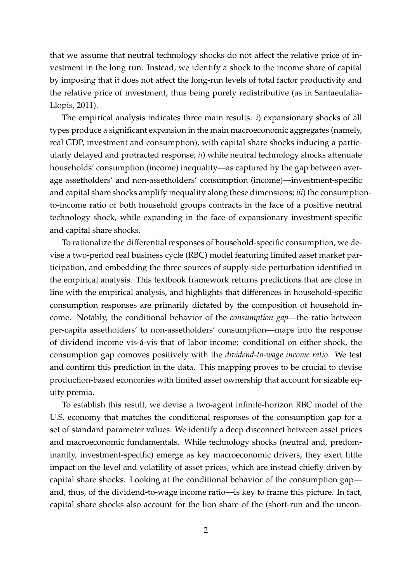that we assume that neutral technology shocks do not affect the relative price of investment in the long run. Instead, we identify a shock to the income share of capital by imposing that it does not affect the long-run levels of total factor productivity and the relative price of investment, thus being purely redistributive (as in [Santaeulalia-](#page-36-0)[Llopis,](#page-36-0) [2011\)](#page-36-0).

The empirical analysis indicates three main results: *i*) expansionary shocks of all types produce a significant expansion in the main macroeconomic aggregates (namely, real GDP, investment and consumption), with capital share shocks inducing a particularly delayed and protracted response; *ii*) while neutral technology shocks attenuate households' consumption (income) inequality—as captured by the gap between average assetholders' and non-assetholders' consumption (income)—investment-specific and capital share shocks amplify inequality along these dimensions; *iii*) the consumptionto-income ratio of both household groups contracts in the face of a positive neutral technology shock, while expanding in the face of expansionary investment-specific and capital share shocks.

To rationalize the differential responses of household-specific consumption, we devise a two-period real business cycle (RBC) model featuring limited asset market participation, and embedding the three sources of supply-side perturbation identified in the empirical analysis. This textbook framework returns predictions that are close in line with the empirical analysis, and highlights that differences in household-specific consumption responses are primarily dictated by the composition of household income. Notably, the conditional behavior of the *consumption gap*—the ratio between per-capita assetholders' to non-assetholders' consumption—maps into the response of dividend income vis-a-vis that of labor income: conditional on either shock, the ´ consumption gap comoves positively with the *dividend-to-wage income ratio*. We test and confirm this prediction in the data. This mapping proves to be crucial to devise production-based economies with limited asset ownership that account for sizable equity premia.

To establish this result, we devise a two-agent infinite-horizon RBC model of the U.S. economy that matches the conditional responses of the consumption gap for a set of standard parameter values. We identify a deep disconnect between asset prices and macroeconomic fundamentals. While technology shocks (neutral and, predominantly, investment-specific) emerge as key macroeconomic drivers, they exert little impact on the level and volatility of asset prices, which are instead chiefly driven by capital share shocks. Looking at the conditional behavior of the consumption gap and, thus, of the dividend-to-wage income ratio—is key to frame this picture. In fact, capital share shocks also account for the lion share of the (short-run and the uncon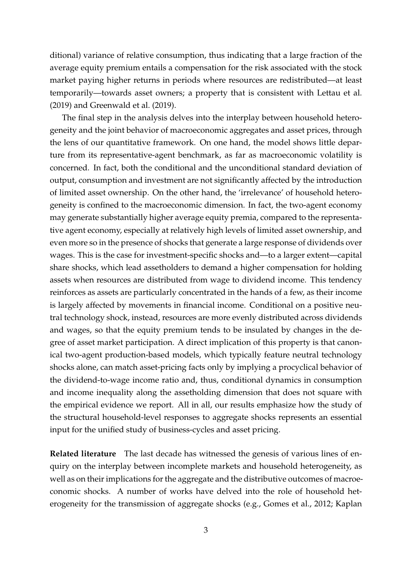ditional) variance of relative consumption, thus indicating that a large fraction of the average equity premium entails a compensation for the risk associated with the stock market paying higher returns in periods where resources are redistributed—at least temporarily—towards asset owners; a property that is consistent with [Lettau et al.](#page-35-4) [\(2019\)](#page-35-4) and [Greenwald et al.](#page-34-1) [\(2019\)](#page-34-1).

The final step in the analysis delves into the interplay between household heterogeneity and the joint behavior of macroeconomic aggregates and asset prices, through the lens of our quantitative framework. On one hand, the model shows little departure from its representative-agent benchmark, as far as macroeconomic volatility is concerned. In fact, both the conditional and the unconditional standard deviation of output, consumption and investment are not significantly affected by the introduction of limited asset ownership. On the other hand, the 'irrelevance' of household heterogeneity is confined to the macroeconomic dimension. In fact, the two-agent economy may generate substantially higher average equity premia, compared to the representative agent economy, especially at relatively high levels of limited asset ownership, and even more so in the presence of shocks that generate a large response of dividends over wages. This is the case for investment-specific shocks and—to a larger extent—capital share shocks, which lead assetholders to demand a higher compensation for holding assets when resources are distributed from wage to dividend income. This tendency reinforces as assets are particularly concentrated in the hands of a few, as their income is largely affected by movements in financial income. Conditional on a positive neutral technology shock, instead, resources are more evenly distributed across dividends and wages, so that the equity premium tends to be insulated by changes in the degree of asset market participation. A direct implication of this property is that canonical two-agent production-based models, which typically feature neutral technology shocks alone, can match asset-pricing facts only by implying a procyclical behavior of the dividend-to-wage income ratio and, thus, conditional dynamics in consumption and income inequality along the assetholding dimension that does not square with the empirical evidence we report. All in all, our results emphasize how the study of the structural household-level responses to aggregate shocks represents an essential input for the unified study of business-cycles and asset pricing.

**Related literature** The last decade has witnessed the genesis of various lines of enquiry on the interplay between incomplete markets and household heterogeneity, as well as on their implications for the aggregate and the distributive outcomes of macroeconomic shocks. A number of works have delved into the role of household heterogeneity for the transmission of aggregate shocks (e.g., [Gomes et al.,](#page-33-1) [2012;](#page-33-1) [Kaplan](#page-34-2)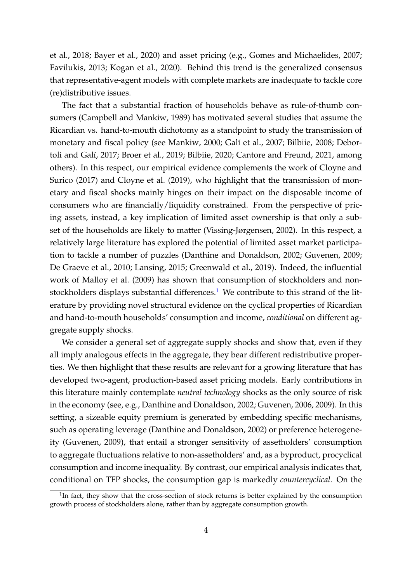[et al.,](#page-34-2) [2018;](#page-34-2) [Bayer et al.,](#page-31-0) [2020\)](#page-31-0) and asset pricing (e.g., [Gomes and Michaelides,](#page-33-2) [2007;](#page-33-2) [Favilukis,](#page-33-3) [2013;](#page-33-3) [Kogan et al.,](#page-35-5) [2020\)](#page-35-5). Behind this trend is the generalized consensus that representative-agent models with complete markets are inadequate to tackle core (re)distributive issues.

The fact that a substantial fraction of households behave as rule-of-thumb consumers [\(Campbell and Mankiw,](#page-32-4) [1989\)](#page-32-4) has motivated several studies that assume the Ricardian vs. hand-to-mouth dichotomy as a standpoint to study the transmission of monetary and fiscal policy (see [Mankiw,](#page-35-6) [2000;](#page-35-6) Galí et al., [2007;](#page-33-4) [Bilbiie,](#page-32-5) [2008;](#page-32-5) [Debor-](#page-33-5)toli and Galí, [2017;](#page-33-5) [Broer et al.,](#page-32-6) [2019;](#page-32-6) [Bilbiie,](#page-32-7) [2020;](#page-32-7) [Cantore and Freund,](#page-32-8) [2021,](#page-32-8) among others). In this respect, our empirical evidence complements the work of [Cloyne and](#page-32-2) [Surico](#page-32-2) [\(2017\)](#page-32-2) and [Cloyne et al.](#page-32-3) [\(2019\)](#page-32-3), who highlight that the transmission of monetary and fiscal shocks mainly hinges on their impact on the disposable income of consumers who are financially/liquidity constrained. From the perspective of pricing assets, instead, a key implication of limited asset ownership is that only a subset of the households are likely to matter [\(Vissing-Jørgensen,](#page-36-1) [2002\)](#page-36-1). In this respect, a relatively large literature has explored the potential of limited asset market participation to tackle a number of puzzles [\(Danthine and Donaldson,](#page-33-6) [2002;](#page-33-6) [Guvenen,](#page-34-3) [2009;](#page-34-3) [De Graeve et al.,](#page-33-7) [2010;](#page-33-7) [Lansing,](#page-35-7) [2015;](#page-35-7) [Greenwald et al.,](#page-34-1) [2019\)](#page-34-1). Indeed, the influential work of [Malloy et al.](#page-35-3) [\(2009\)](#page-35-3) has shown that consumption of stockholders and non-stockholders displays substantial differences.<sup>[1](#page-4-0)</sup> We contribute to this strand of the literature by providing novel structural evidence on the cyclical properties of Ricardian and hand-to-mouth households' consumption and income, *conditional* on different aggregate supply shocks.

We consider a general set of aggregate supply shocks and show that, even if they all imply analogous effects in the aggregate, they bear different redistributive properties. We then highlight that these results are relevant for a growing literature that has developed two-agent, production-based asset pricing models. Early contributions in this literature mainly contemplate *neutral technology* shocks as the only source of risk in the economy (see, e.g., [Danthine and Donaldson,](#page-33-6) [2002;](#page-33-6) [Guvenen,](#page-34-4) [2006,](#page-34-4) [2009\)](#page-34-3). In this setting, a sizeable equity premium is generated by embedding specific mechanisms, such as operating leverage [\(Danthine and Donaldson,](#page-33-6) [2002\)](#page-33-6) or preference heterogeneity [\(Guvenen,](#page-34-3) [2009\)](#page-34-3), that entail a stronger sensitivity of assetholders' consumption to aggregate fluctuations relative to non-assetholders' and, as a byproduct, procyclical consumption and income inequality. By contrast, our empirical analysis indicates that, conditional on TFP shocks, the consumption gap is markedly *countercyclical*. On the

<span id="page-4-0"></span><sup>&</sup>lt;sup>1</sup>In fact, they show that the cross-section of stock returns is better explained by the consumption growth process of stockholders alone, rather than by aggregate consumption growth.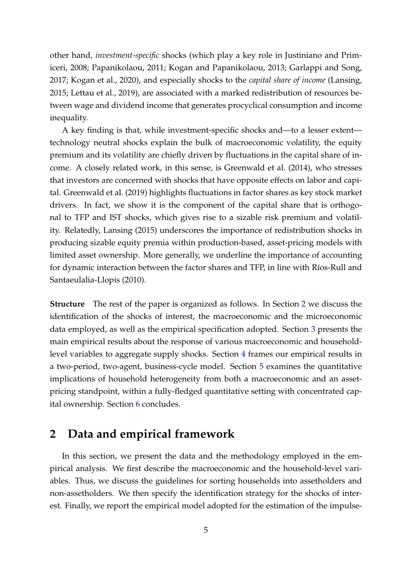other hand, *investment-specific* shocks (which play a key role in [Justiniano and Prim](#page-34-5)[iceri,](#page-34-5) [2008;](#page-34-5) [Papanikolaou,](#page-35-8) [2011;](#page-35-8) [Kogan and Papanikolaou,](#page-35-9) [2013;](#page-35-9) [Garlappi and Song,](#page-33-8) [2017;](#page-33-8) [Kogan et al.,](#page-35-5) [2020\)](#page-35-5), and especially shocks to the *capital share of income* [\(Lansing,](#page-35-7) [2015;](#page-35-7) [Lettau et al.,](#page-35-4) [2019\)](#page-35-4), are associated with a marked redistribution of resources between wage and dividend income that generates procyclical consumption and income inequality.

A key finding is that, while investment-specific shocks and—to a lesser extent technology neutral shocks explain the bulk of macroeconomic volatility, the equity premium and its volatility are chiefly driven by fluctuations in the capital share of income. A closely related work, in this sense, is [Greenwald et al.](#page-34-6) [\(2014\)](#page-34-6), who stresses that investors are concerned with shocks that have opposite effects on labor and capital. [Greenwald et al.](#page-34-1) [\(2019\)](#page-34-1) highlights fluctuations in factor shares as key stock market drivers. In fact, we show it is the component of the capital share that is orthogonal to TFP and IST shocks, which gives rise to a sizable risk premium and volatility. Relatedly, [Lansing](#page-35-7) [\(2015\)](#page-35-7) underscores the importance of redistribution shocks in producing sizable equity premia within production-based, asset-pricing models with limited asset ownership. More generally, we underline the importance of accounting for dynamic interaction between the factor shares and TFP, in line with Ríos-Rull and [Santaeulalia-Llopis](#page-36-2) [\(2010\)](#page-36-2).

**Structure** The rest of the paper is organized as follows. In Section [2](#page-5-0) we discuss the identification of the shocks of interest, the macroeconomic and the microeconomic data employed, as well as the empirical specification adopted. Section [3](#page-12-0) presents the main empirical results about the response of various macroeconomic and householdlevel variables to aggregate supply shocks. Section [4](#page-20-0) frames our empirical results in a two-period, two-agent, business-cycle model. Section [5](#page-24-0) examines the quantitative implications of household heterogeneity from both a macroeconomic and an assetpricing standpoint, within a fully-fledged quantitative setting with concentrated capital ownership. Section [6](#page-31-1) concludes.

# <span id="page-5-0"></span>**2 Data and empirical framework**

In this section, we present the data and the methodology employed in the empirical analysis. We first describe the macroeconomic and the household-level variables. Thus, we discuss the guidelines for sorting households into assetholders and non-assetholders. We then specify the identification strategy for the shocks of interest. Finally, we report the empirical model adopted for the estimation of the impulse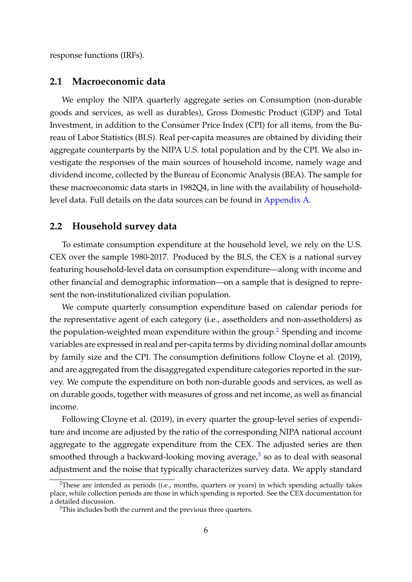response functions (IRFs).

### **2.1 Macroeconomic data**

We employ the NIPA quarterly aggregate series on Consumption (non-durable goods and services, as well as durables), Gross Domestic Product (GDP) and Total Investment, in addition to the Consumer Price Index (CPI) for all items, from the Bureau of Labor Statistics (BLS). Real per-capita measures are obtained by dividing their aggregate counterparts by the NIPA U.S. total population and by the CPI. We also investigate the responses of the main sources of household income, namely wage and dividend income, collected by the Bureau of Economic Analysis (BEA). The sample for these macroeconomic data starts in 1982Q4, in line with the availability of householdlevel data. Full details on the data sources can be found in [Appendix A.](#page-37-0)

### **2.2 Household survey data**

To estimate consumption expenditure at the household level, we rely on the U.S. CEX over the sample 1980-2017. Produced by the BLS, the CEX is a national survey featuring household-level data on consumption expenditure—along with income and other financial and demographic information—on a sample that is designed to represent the non-institutionalized civilian population.

We compute quarterly consumption expenditure based on calendar periods for the representative agent of each category (i.e., assetholders and non-assetholders) as the population-weighted mean expenditure within the group.<sup>[2](#page-6-0)</sup> Spending and income variables are expressed in real and per-capita terms by dividing nominal dollar amounts by family size and the CPI. The consumption definitions follow [Cloyne et al.](#page-32-3) [\(2019\)](#page-32-3), and are aggregated from the disaggregated expenditure categories reported in the survey. We compute the expenditure on both non-durable goods and services, as well as on durable goods, together with measures of gross and net income, as well as financial income.

Following [Cloyne et al.](#page-32-3) [\(2019\)](#page-32-3), in every quarter the group-level series of expenditure and income are adjusted by the ratio of the corresponding NIPA national account aggregate to the aggregate expenditure from the CEX. The adjusted series are then smoothed through a backward-looking moving average,<sup>[3](#page-6-1)</sup> so as to deal with seasonal adjustment and the noise that typically characterizes survey data. We apply standard

<span id="page-6-0"></span> $2$ These are intended as periods (i.e., months, quarters or years) in which spending actually takes place, while collection periods are those in which spending is reported. See the CEX documentation for a detailed discussion.

<span id="page-6-1"></span><sup>&</sup>lt;sup>3</sup>This includes both the current and the previous three quarters.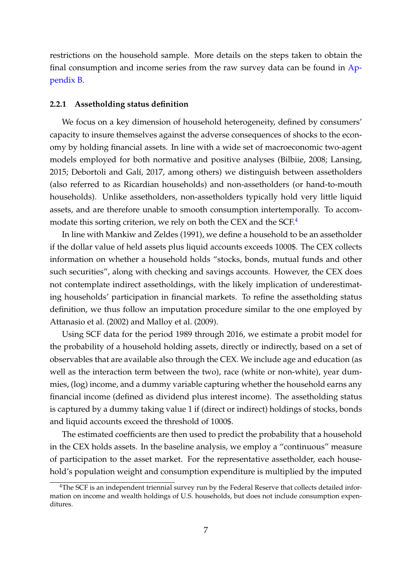restrictions on the household sample. More details on the steps taken to obtain the final consumption and income series from the raw survey data can be found in [Ap](#page-38-0)[pendix B.](#page-38-0)

#### **2.2.1 Assetholding status definition**

We focus on a key dimension of household heterogeneity, defined by consumers' capacity to insure themselves against the adverse consequences of shocks to the economy by holding financial assets. In line with a wide set of macroeconomic two-agent models employed for both normative and positive analyses [\(Bilbiie,](#page-32-5) [2008;](#page-32-5) [Lansing,](#page-35-7) [2015;](#page-35-7) Debortoli and Galí, [2017,](#page-33-5) among others) we distinguish between assetholders (also referred to as Ricardian households) and non-assetholders (or hand-to-mouth households). Unlike assetholders, non-assetholders typically hold very little liquid assets, and are therefore unable to smooth consumption intertemporally. To accom-modate this sorting criterion, we rely on both the CEX and the SCF.<sup>[4](#page-7-0)</sup>

In line with [Mankiw and Zeldes](#page-35-10) [\(1991\)](#page-35-10), we define a household to be an assetholder if the dollar value of held assets plus liquid accounts exceeds 1000\$. The CEX collects information on whether a household holds "stocks, bonds, mutual funds and other such securities", along with checking and savings accounts. However, the CEX does not contemplate indirect assetholdings, with the likely implication of underestimating households' participation in financial markets. To refine the assetholding status definition, we thus follow an imputation procedure similar to the one employed by [Attanasio et al.](#page-31-2) [\(2002\)](#page-31-2) and [Malloy et al.](#page-35-3) [\(2009\)](#page-35-3).

Using SCF data for the period 1989 through 2016, we estimate a probit model for the probability of a household holding assets, directly or indirectly, based on a set of observables that are available also through the CEX. We include age and education (as well as the interaction term between the two), race (white or non-white), year dummies, (log) income, and a dummy variable capturing whether the household earns any financial income (defined as dividend plus interest income). The assetholding status is captured by a dummy taking value 1 if (direct or indirect) holdings of stocks, bonds and liquid accounts exceed the threshold of 1000\$.

The estimated coefficients are then used to predict the probability that a household in the CEX holds assets. In the baseline analysis, we employ a "continuous" measure of participation to the asset market. For the representative assetholder, each household's population weight and consumption expenditure is multiplied by the imputed

<span id="page-7-0"></span><sup>&</sup>lt;sup>4</sup>The SCF is an independent triennial survey run by the Federal Reserve that collects detailed information on income and wealth holdings of U.S. households, but does not include consumption expenditures.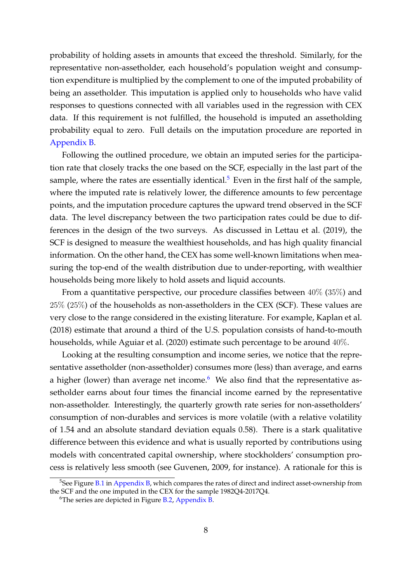probability of holding assets in amounts that exceed the threshold. Similarly, for the representative non-assetholder, each household's population weight and consumption expenditure is multiplied by the complement to one of the imputed probability of being an assetholder. This imputation is applied only to households who have valid responses to questions connected with all variables used in the regression with CEX data. If this requirement is not fulfilled, the household is imputed an assetholding probability equal to zero. Full details on the imputation procedure are reported in [Appendix B.](#page-38-0)

Following the outlined procedure, we obtain an imputed series for the participation rate that closely tracks the one based on the SCF, especially in the last part of the sample, where the rates are essentially identical.<sup>[5](#page-8-0)</sup> Even in the first half of the sample, where the imputed rate is relatively lower, the difference amounts to few percentage points, and the imputation procedure captures the upward trend observed in the SCF data. The level discrepancy between the two participation rates could be due to differences in the design of the two surveys. As discussed in [Lettau et al.](#page-35-4) [\(2019\)](#page-35-4), the SCF is designed to measure the wealthiest households, and has high quality financial information. On the other hand, the CEX has some well-known limitations when measuring the top-end of the wealth distribution due to under-reporting, with wealthier households being more likely to hold assets and liquid accounts.

From a quantitative perspective, our procedure classifies between 40% (35%) and 25% (25%) of the households as non-assetholders in the CEX (SCF). These values are very close to the range considered in the existing literature. For example, [Kaplan et al.](#page-34-2) [\(2018\)](#page-34-2) estimate that around a third of the U.S. population consists of hand-to-mouth households, while [Aguiar et al.](#page-31-3) [\(2020\)](#page-31-3) estimate such percentage to be around 40%.

Looking at the resulting consumption and income series, we notice that the representative assetholder (non-assetholder) consumes more (less) than average, and earns a higher (lower) than average net income. $6$  We also find that the representative assetholder earns about four times the financial income earned by the representative non-assetholder. Interestingly, the quarterly growth rate series for non-assetholders' consumption of non-durables and services is more volatile (with a relative volatility of 1.54 and an absolute standard deviation equals 0.58). There is a stark qualitative difference between this evidence and what is usually reported by contributions using models with concentrated capital ownership, where stockholders' consumption process is relatively less smooth (see [Guvenen,](#page-34-3) [2009,](#page-34-3) for instance). A rationale for this is

<span id="page-8-0"></span> $5$ See Figure [B.1](#page-42-0) in [Appendix B,](#page-38-0) which compares the rates of direct and indirect asset-ownership from the SCF and the one imputed in the CEX for the sample 1982Q4-2017Q4.

<span id="page-8-1"></span> $6$ The series are depicted in Figure [B.2,](#page-43-0) [Appendix B.](#page-38-0)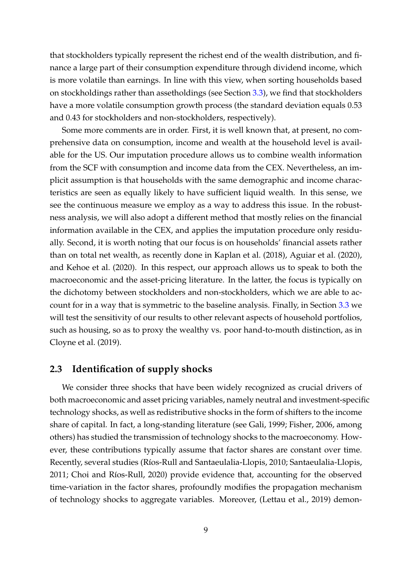that stockholders typically represent the richest end of the wealth distribution, and finance a large part of their consumption expenditure through dividend income, which is more volatile than earnings. In line with this view, when sorting households based on stockholdings rather than assetholdings (see Section [3.3\)](#page-17-0), we find that stockholders have a more volatile consumption growth process (the standard deviation equals 0.53 and 0.43 for stockholders and non-stockholders, respectively).

Some more comments are in order. First, it is well known that, at present, no comprehensive data on consumption, income and wealth at the household level is available for the US. Our imputation procedure allows us to combine wealth information from the SCF with consumption and income data from the CEX. Nevertheless, an implicit assumption is that households with the same demographic and income characteristics are seen as equally likely to have sufficient liquid wealth. In this sense, we see the continuous measure we employ as a way to address this issue. In the robustness analysis, we will also adopt a different method that mostly relies on the financial information available in the CEX, and applies the imputation procedure only residually. Second, it is worth noting that our focus is on households' financial assets rather than on total net wealth, as recently done in [Kaplan et al.](#page-34-2) [\(2018\)](#page-34-2), [Aguiar et al.](#page-31-3) [\(2020\)](#page-31-3), and [Kehoe et al.](#page-34-7) [\(2020\)](#page-34-7). In this respect, our approach allows us to speak to both the macroeconomic and the asset-pricing literature. In the latter, the focus is typically on the dichotomy between stockholders and non-stockholders, which we are able to account for in a way that is symmetric to the baseline analysis. Finally, in Section [3.3](#page-17-0) we will test the sensitivity of our results to other relevant aspects of household portfolios, such as housing, so as to proxy the wealthy vs. poor hand-to-mouth distinction, as in [Cloyne et al.](#page-32-3) [\(2019\)](#page-32-3).

### <span id="page-9-0"></span>**2.3 Identification of supply shocks**

We consider three shocks that have been widely recognized as crucial drivers of both macroeconomic and asset pricing variables, namely neutral and investment-specific technology shocks, as well as redistributive shocks in the form of shifters to the income share of capital. In fact, a long-standing literature (see [Gali,](#page-33-9) [1999;](#page-33-9) [Fisher,](#page-33-0) [2006,](#page-33-0) among others) has studied the transmission of technology shocks to the macroeconomy. However, these contributions typically assume that factor shares are constant over time. Recently, several studies (Ríos-Rull and Santaeulalia-Llopis, [2010;](#page-36-2) [Santaeulalia-Llopis,](#page-36-0) [2011;](#page-36-0) Choi and Ríos-Rull, [2020\)](#page-32-9) provide evidence that, accounting for the observed time-variation in the factor shares, profoundly modifies the propagation mechanism of technology shocks to aggregate variables. Moreover, [\(Lettau et al.,](#page-35-4) [2019\)](#page-35-4) demon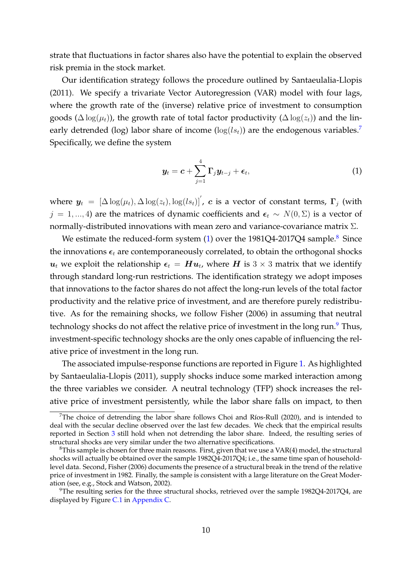strate that fluctuations in factor shares also have the potential to explain the observed risk premia in the stock market.

Our identification strategy follows the procedure outlined by [Santaeulalia-Llopis](#page-36-0) [\(2011\)](#page-36-0). We specify a trivariate Vector Autoregression (VAR) model with four lags, where the growth rate of the (inverse) relative price of investment to consumption goods ( $\Delta \log(\mu_t)$ ), the growth rate of total factor productivity ( $\Delta \log(z_t)$ ) and the linearly detrended (log) labor share of income ( $log(l_{s_t})$ ) are the endogenous variables.<sup>[7](#page-10-0)</sup> Specifically, we define the system

<span id="page-10-1"></span>
$$
\boldsymbol{y}_t = \boldsymbol{c} + \sum_{j=1}^4 \boldsymbol{\Gamma}_j \boldsymbol{y}_{t-j} + \boldsymbol{\epsilon}_t, \tag{1}
$$

where  $y_t = [\Delta \log(\mu_t), \Delta \log(z_t), \log(l s_t)]'$ , c is a vector of constant terms,  $\Gamma_j$  (with  $j = 1, ..., 4$ ) are the matrices of dynamic coefficients and  $\epsilon_t \sim N(0, \Sigma)$  is a vector of normally-distributed innovations with mean zero and variance-covariance matrix  $Σ$ .

We estimate the reduced-form system  $(1)$  over the 19[8](#page-10-2)1Q4-2017Q4 sample.<sup>8</sup> Since the innovations  $\epsilon_t$  are contemporaneously correlated, to obtain the orthogonal shocks  $\bm{u}_t$  we exploit the relationship  $\bm{\epsilon}_t = \bm{H}\bm{u}_t$ , where  $\bm{H}$  is  $3\times 3$  matrix that we identify through standard long-run restrictions. The identification strategy we adopt imposes that innovations to the factor shares do not affect the long-run levels of the total factor productivity and the relative price of investment, and are therefore purely redistributive. As for the remaining shocks, we follow [Fisher](#page-33-0) [\(2006\)](#page-33-0) in assuming that neutral technology shocks do not affect the relative price of investment in the long run.<sup>[9](#page-10-3)</sup> Thus, investment-specific technology shocks are the only ones capable of influencing the relative price of investment in the long run.

The associated impulse-response functions are reported in Figure [1.](#page-11-0) As highlighted by [Santaeulalia-Llopis](#page-36-0) [\(2011\)](#page-36-0), supply shocks induce some marked interaction among the three variables we consider. A neutral technology (TFP) shock increases the relative price of investment persistently, while the labor share falls on impact, to then

<span id="page-10-0"></span><sup>&</sup>lt;sup>7</sup>The choice of detrending the labor share follows Choi and Ríos-Rull [\(2020\)](#page-32-9), and is intended to deal with the secular decline observed over the last few decades. We check that the empirical results reported in Section [3](#page-12-0) still hold when not detrending the labor share. Indeed, the resulting series of structural shocks are very similar under the two alternative specifications.

<span id="page-10-2"></span> $8$ This sample is chosen for three main reasons. First, given that we use a VAR(4) model, the structural shocks will actually be obtained over the sample 1982Q4-2017Q4; i.e., the same time span of householdlevel data. Second, [Fisher](#page-33-0) [\(2006\)](#page-33-0) documents the presence of a structural break in the trend of the relative price of investment in 1982. Finally, the sample is consistent with a large literature on the Great Moderation (see, e.g., [Stock and Watson,](#page-36-3) [2002\)](#page-36-3).

<span id="page-10-3"></span><sup>&</sup>lt;sup>9</sup>The resulting series for the three structural shocks, retrieved over the sample 1982Q4-2017Q4, are displayed by Figure [C.1](#page-45-0) in [Appendix C.](#page-44-0)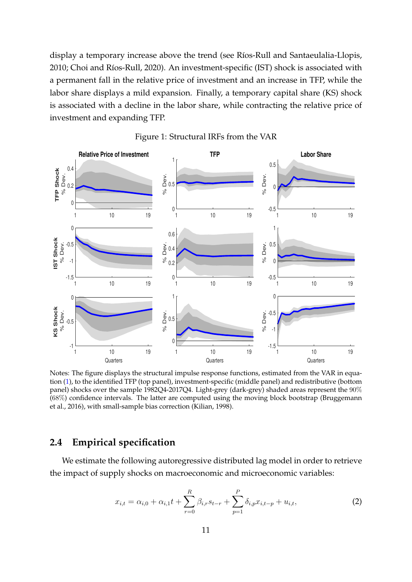display a temporary increase above the trend (see Ríos-Rull and Santaeulalia-Llopis, [2010;](#page-36-2) Choi and Ríos-Rull, [2020\)](#page-32-9). An investment-specific (IST) shock is associated with a permanent fall in the relative price of investment and an increase in TFP, while the labor share displays a mild expansion. Finally, a temporary capital share (KS) shock is associated with a decline in the labor share, while contracting the relative price of investment and expanding TFP.

<span id="page-11-0"></span>



Notes: The figure displays the structural impulse response functions, estimated from the VAR in equation [\(1\)](#page-10-1), to the identified TFP (top panel), investment-specific (middle panel) and redistributive (bottom panel) shocks over the sample 1982Q4-2017Q4. Light-grey (dark-grey) shaded areas represent the 90% (68%) confidence intervals. The latter are computed using the moving block bootstrap [\(Bruggemann](#page-32-10) [et al.,](#page-32-10) [2016\)](#page-32-10), with small-sample bias correction [\(Kilian,](#page-35-11) [1998\)](#page-35-11).

### **2.4 Empirical specification**

We estimate the following autoregressive distributed lag model in order to retrieve the impact of supply shocks on macroeconomic and microeconomic variables:

$$
x_{i,t} = \alpha_{i,0} + \alpha_{i,1}t + \sum_{r=0}^{R} \beta_{i,r} s_{t-r} + \sum_{p=1}^{P} \delta_{i,p} x_{i,t-p} + u_{i,t},
$$
\n(2)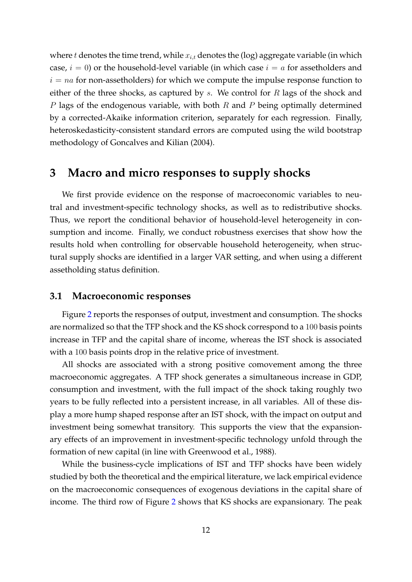where t denotes the time trend, while  $x_{i,t}$  denotes the (log) aggregate variable (in which case,  $i = 0$ ) or the household-level variable (in which case  $i = a$  for assetholders and  $i = na$  for non-assetholders) for which we compute the impulse response function to either of the three shocks, as captured by s. We control for  $R$  lags of the shock and P lags of the endogenous variable, with both R and P being optimally determined by a corrected-Akaike information criterion, separately for each regression. Finally, heteroskedasticity-consistent standard errors are computed using the wild bootstrap methodology of [Goncalves and Kilian](#page-34-8) [\(2004\)](#page-34-8).

# <span id="page-12-0"></span>**3 Macro and micro responses to supply shocks**

We first provide evidence on the response of macroeconomic variables to neutral and investment-specific technology shocks, as well as to redistributive shocks. Thus, we report the conditional behavior of household-level heterogeneity in consumption and income. Finally, we conduct robustness exercises that show how the results hold when controlling for observable household heterogeneity, when structural supply shocks are identified in a larger VAR setting, and when using a different assetholding status definition.

### **3.1 Macroeconomic responses**

Figure [2](#page-13-0) reports the responses of output, investment and consumption. The shocks are normalized so that the TFP shock and the KS shock correspond to a 100 basis points increase in TFP and the capital share of income, whereas the IST shock is associated with a 100 basis points drop in the relative price of investment.

All shocks are associated with a strong positive comovement among the three macroeconomic aggregates. A TFP shock generates a simultaneous increase in GDP, consumption and investment, with the full impact of the shock taking roughly two years to be fully reflected into a persistent increase, in all variables. All of these display a more hump shaped response after an IST shock, with the impact on output and investment being somewhat transitory. This supports the view that the expansionary effects of an improvement in investment-specific technology unfold through the formation of new capital (in line with [Greenwood et al.,](#page-34-9) [1988\)](#page-34-9).

While the business-cycle implications of IST and TFP shocks have been widely studied by both the theoretical and the empirical literature, we lack empirical evidence on the macroeconomic consequences of exogenous deviations in the capital share of income. The third row of Figure [2](#page-13-0) shows that KS shocks are expansionary. The peak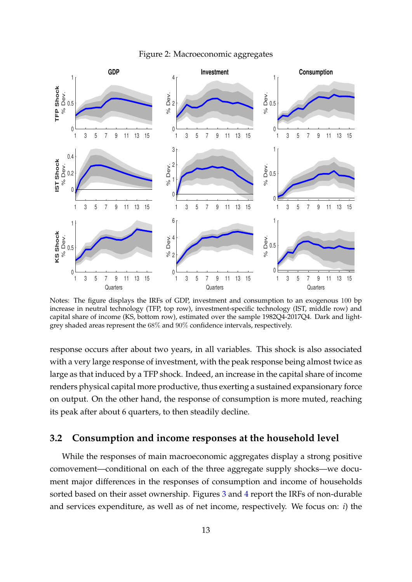<span id="page-13-0"></span>

Figure 2: Macroeconomic aggregates

Notes: The figure displays the IRFs of GDP, investment and consumption to an exogenous 100 bp increase in neutral technology (TFP, top row), investment-specific technology (IST, middle row) and capital share of income (KS, bottom row), estimated over the sample 1982Q4-2017Q4. Dark and lightgrey shaded areas represent the 68% and 90% confidence intervals, respectively.

response occurs after about two years, in all variables. This shock is also associated with a very large response of investment, with the peak response being almost twice as large as that induced by a TFP shock. Indeed, an increase in the capital share of income renders physical capital more productive, thus exerting a sustained expansionary force on output. On the other hand, the response of consumption is more muted, reaching its peak after about 6 quarters, to then steadily decline.

### <span id="page-13-1"></span>**3.2 Consumption and income responses at the household level**

While the responses of main macroeconomic aggregates display a strong positive comovement—conditional on each of the three aggregate supply shocks—we document major differences in the responses of consumption and income of households sorted based on their asset ownership. Figures [3](#page-15-0) and [4](#page-16-0) report the IRFs of non-durable and services expenditure, as well as of net income, respectively. We focus on: *i*) the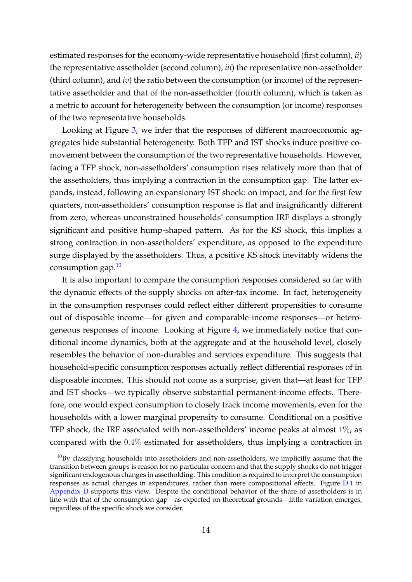estimated responses for the economy-wide representative household (first column), *ii*) the representative assetholder (second column), *iii*) the representative non-assetholder (third column), and *iv*) the ratio between the consumption (or income) of the representative assetholder and that of the non-assetholder (fourth column), which is taken as a metric to account for heterogeneity between the consumption (or income) responses of the two representative households.

Looking at Figure [3,](#page-15-0) we infer that the responses of different macroeconomic aggregates hide substantial heterogeneity. Both TFP and IST shocks induce positive comovement between the consumption of the two representative households. However, facing a TFP shock, non-assetholders' consumption rises relatively more than that of the assetholders, thus implying a contraction in the consumption gap. The latter expands, instead, following an expansionary IST shock: on impact, and for the first few quarters, non-assetholders' consumption response is flat and insignificantly different from zero, whereas unconstrained households' consumption IRF displays a strongly significant and positive hump-shaped pattern. As for the KS shock, this implies a strong contraction in non-assetholders' expenditure, as opposed to the expenditure surge displayed by the assetholders. Thus, a positive KS shock inevitably widens the consumption gap. $10$ 

It is also important to compare the consumption responses considered so far with the dynamic effects of the supply shocks on after-tax income. In fact, heterogeneity in the consumption responses could reflect either different propensities to consume out of disposable income—for given and comparable income responses—or heterogeneous responses of income. Looking at Figure [4,](#page-16-0) we immediately notice that conditional income dynamics, both at the aggregate and at the household level, closely resembles the behavior of non-durables and services expenditure. This suggests that household-specific consumption responses actually reflect differential responses of in disposable incomes. This should not come as a surprise, given that—at least for TFP and IST shocks—we typically observe substantial permanent-income effects. Therefore, one would expect consumption to closely track income movements, even for the households with a lower marginal propensity to consume. Conditional on a positive TFP shock, the IRF associated with non-assetholders' income peaks at almost  $1\%$ , as compared with the 0.4% estimated for assetholders, thus implying a contraction in

<span id="page-14-0"></span> $10By$  classifying households into assetholders and non-assetholders, we implicitly assume that the transition between groups is reason for no particular concern and that the supply shocks do not trigger significant endogenous changes in assetholding. This condition is required to interpret the consumption responses as actual changes in expenditures, rather than mere compositional effects. Figure [D.1](#page-46-0) in [Appendix D](#page-45-1) supports this view. Despite the conditional behavior of the share of assetholders is in line with that of the consumption gap—as expected on theoretical grounds—little variation emerges, regardless of the specific shock we consider.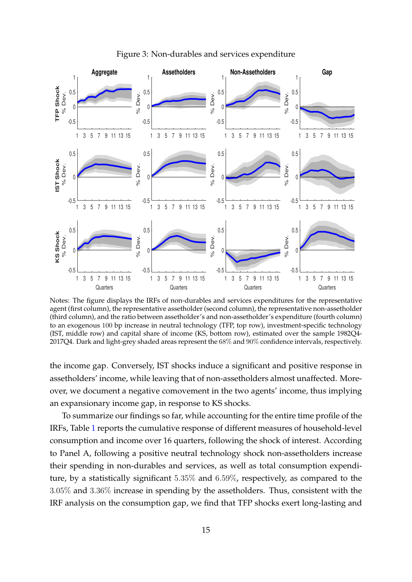<span id="page-15-0"></span>

Figure 3: Non-durables and services expenditure

Notes: The figure displays the IRFs of non-durables and services expenditures for the representative agent (first column), the representative assetholder (second column), the representative non-assetholder (third column), and the ratio between assetholder's and non-assetholder's expenditure (fourth column) to an exogenous 100 bp increase in neutral technology (TFP, top row), investment-specific technology (IST, middle row) and capital share of income (KS, bottom row), estimated over the sample 1982Q4- 2017Q4. Dark and light-grey shaded areas represent the 68% and 90% confidence intervals, respectively.

the income gap. Conversely, IST shocks induce a significant and positive response in assetholders' income, while leaving that of non-assetholders almost unaffected. Moreover, we document a negative comovement in the two agents' income, thus implying an expansionary income gap, in response to KS shocks.

To summarize our findings so far, while accounting for the entire time profile of the IRFs, Table [1](#page-18-0) reports the cumulative response of different measures of household-level consumption and income over 16 quarters, following the shock of interest. According to Panel A, following a positive neutral technology shock non-assetholders increase their spending in non-durables and services, as well as total consumption expenditure, by a statistically significant 5.35% and 6.59%, respectively, as compared to the 3.05% and 3.36% increase in spending by the assetholders. Thus, consistent with the IRF analysis on the consumption gap, we find that TFP shocks exert long-lasting and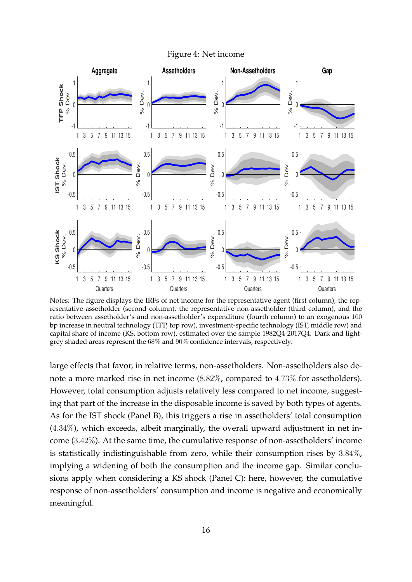

<span id="page-16-0"></span>

Notes: The figure displays the IRFs of net income for the representative agent (first column), the representative assetholder (second column), the representative non-assetholder (third column), and the ratio between assetholder's and non-assetholder's expenditure (fourth column) to an exogenous 100 bp increase in neutral technology (TFP, top row), investment-specific technology (IST, middle row) and capital share of income (KS, bottom row), estimated over the sample 1982Q4-2017Q4. Dark and lightgrey shaded areas represent the 68% and 90% confidence intervals, respectively.

large effects that favor, in relative terms, non-assetholders. Non-assetholders also denote a more marked rise in net income (8.82%, compared to 4.73% for assetholders). However, total consumption adjusts relatively less compared to net income, suggesting that part of the increase in the disposable income is saved by both types of agents. As for the IST shock (Panel B), this triggers a rise in assetholders' total consumption (4.34%), which exceeds, albeit marginally, the overall upward adjustment in net income (3.42%). At the same time, the cumulative response of non-assetholders' income is statistically indistinguishable from zero, while their consumption rises by 3.84%, implying a widening of both the consumption and the income gap. Similar conclusions apply when considering a KS shock (Panel C): here, however, the cumulative response of non-assetholders' consumption and income is negative and economically meaningful.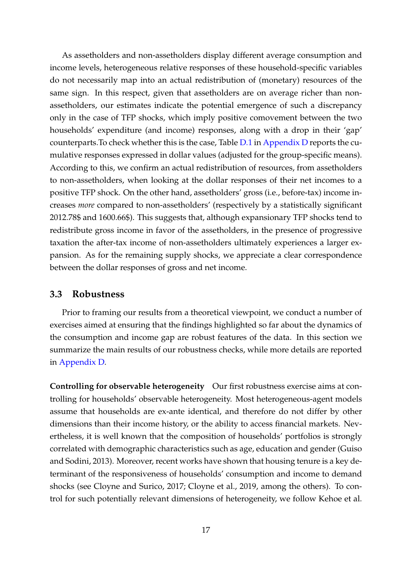As assetholders and non-assetholders display different average consumption and income levels, heterogeneous relative responses of these household-specific variables do not necessarily map into an actual redistribution of (monetary) resources of the same sign. In this respect, given that assetholders are on average richer than nonassetholders, our estimates indicate the potential emergence of such a discrepancy only in the case of TFP shocks, which imply positive comovement between the two households' expenditure (and income) responses, along with a drop in their 'gap' counterparts.To check whether this is the case, Table [D.1](#page-47-0) in [Appendix D](#page-45-1) reports the cumulative responses expressed in dollar values (adjusted for the group-specific means). According to this, we confirm an actual redistribution of resources, from assetholders to non-assetholders, when looking at the dollar responses of their net incomes to a positive TFP shock. On the other hand, assetholders' gross (i.e., before-tax) income increases *more* compared to non-assetholders' (respectively by a statistically significant 2012.78\$ and 1600.66\$). This suggests that, although expansionary TFP shocks tend to redistribute gross income in favor of the assetholders, in the presence of progressive taxation the after-tax income of non-assetholders ultimately experiences a larger expansion. As for the remaining supply shocks, we appreciate a clear correspondence between the dollar responses of gross and net income.

### <span id="page-17-0"></span>**3.3 Robustness**

Prior to framing our results from a theoretical viewpoint, we conduct a number of exercises aimed at ensuring that the findings highlighted so far about the dynamics of the consumption and income gap are robust features of the data. In this section we summarize the main results of our robustness checks, while more details are reported in [Appendix D.](#page-45-1)

**Controlling for observable heterogeneity** Our first robustness exercise aims at controlling for households' observable heterogeneity. Most heterogeneous-agent models assume that households are ex-ante identical, and therefore do not differ by other dimensions than their income history, or the ability to access financial markets. Nevertheless, it is well known that the composition of households' portfolios is strongly correlated with demographic characteristics such as age, education and gender [\(Guiso](#page-34-10) [and Sodini,](#page-34-10) [2013\)](#page-34-10). Moreover, recent works have shown that housing tenure is a key determinant of the responsiveness of households' consumption and income to demand shocks (see [Cloyne and Surico,](#page-32-2) [2017;](#page-32-2) [Cloyne et al.,](#page-32-3) [2019,](#page-32-3) among the others). To control for such potentially relevant dimensions of heterogeneity, we follow [Kehoe et al.](#page-34-7)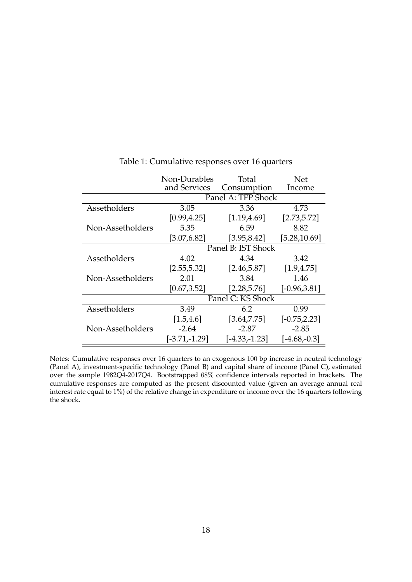<span id="page-18-0"></span>

|                  | Non-Durables       | Total              | <b>Net</b>      |
|------------------|--------------------|--------------------|-----------------|
|                  | and Services       | Consumption        | Income          |
|                  |                    | Panel A: TFP Shock |                 |
| Assetholders     | 3.05               | 3.36               | 4.73            |
|                  | [0.99, 4.25]       | [1.19, 4.69]       | [2.73, 5.72]    |
| Non-Assetholders | 5.35               | 6.59               | 8.82            |
|                  | [3.07, 6.82]       | [3.95, 8.42]       | [5.28, 10.69]   |
|                  | Panel B: IST Shock |                    |                 |
| Assetholders     | 4.02               | 4.34               | 3.42            |
|                  | [2.55, 5.32]       | [2.46, 5.87]       | [1.9, 4.75]     |
| Non-Assetholders | 2.01               | 3.84               | 1.46            |
|                  | [0.67, 3.52]       | [2.28, 5.76]       | $[-0.96, 3.81]$ |
|                  | Panel C: KS Shock  |                    |                 |
| Assetholders     | 3.49               | 6.2                | 0.99            |
|                  | [1.5, 4.6]         | [3.64, 7.75]       | $[-0.75, 2.23]$ |
| Non-Assetholders | $-2.64$            | $-2.87$            | $-2.85$         |
|                  | $[-3.71,-1.29]$    | $[-4.33,-1.23]$    | $[-4.68,-0.3]$  |

Table 1: Cumulative responses over 16 quarters

Notes: Cumulative responses over 16 quarters to an exogenous 100 bp increase in neutral technology (Panel A), investment-specific technology (Panel B) and capital share of income (Panel C), estimated over the sample 1982Q4-2017Q4. Bootstrapped 68% confidence intervals reported in brackets. The cumulative responses are computed as the present discounted value (given an average annual real interest rate equal to 1%) of the relative change in expenditure or income over the 16 quarters following the shock.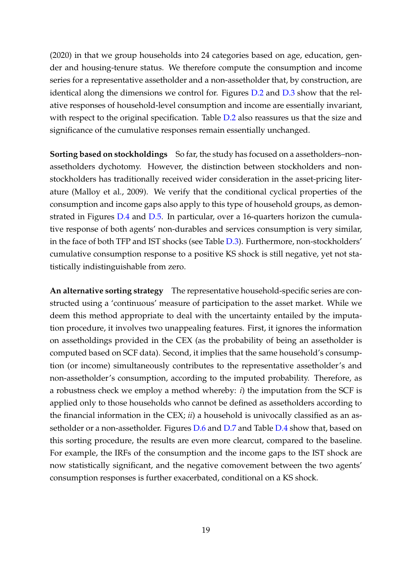[\(2020\)](#page-34-7) in that we group households into 24 categories based on age, education, gender and housing-tenure status. We therefore compute the consumption and income series for a representative assetholder and a non-assetholder that, by construction, are identical along the dimensions we control for. Figures [D.2](#page-52-0) and [D.3](#page-52-1) show that the relative responses of household-level consumption and income are essentially invariant, with respect to the original specification. Table [D.2](#page-50-0) also reassures us that the size and significance of the cumulative responses remain essentially unchanged.

**Sorting based on stockholdings** So far, the study has focused on a assetholders–nonassetholders dychotomy. However, the distinction between stockholders and nonstockholders has traditionally received wider consideration in the asset-pricing literature [\(Malloy et al.,](#page-35-3) [2009\)](#page-35-3). We verify that the conditional cyclical properties of the consumption and income gaps also apply to this type of household groups, as demonstrated in Figures [D.4](#page-53-0) and [D.5.](#page-53-1) In particular, over a 16-quarters horizon the cumulative response of both agents' non-durables and services consumption is very similar, in the face of both TFP and IST shocks (see Table [D.3\)](#page-50-1). Furthermore, non-stockholders' cumulative consumption response to a positive KS shock is still negative, yet not statistically indistinguishable from zero.

**An alternative sorting strategy** The representative household-specific series are constructed using a 'continuous' measure of participation to the asset market. While we deem this method appropriate to deal with the uncertainty entailed by the imputation procedure, it involves two unappealing features. First, it ignores the information on assetholdings provided in the CEX (as the probability of being an assetholder is computed based on SCF data). Second, it implies that the same household's consumption (or income) simultaneously contributes to the representative assetholder's and non-assetholder's consumption, according to the imputed probability. Therefore, as a robustness check we employ a method whereby: *i*) the imputation from the SCF is applied only to those households who cannot be defined as assetholders according to the financial information in the CEX; *ii*) a household is univocally classified as an assetholder or a non-assetholder. Figures [D.6](#page-54-0) and [D.7](#page-54-1) and Table [D.4](#page-51-0) show that, based on this sorting procedure, the results are even more clearcut, compared to the baseline. For example, the IRFs of the consumption and the income gaps to the IST shock are now statistically significant, and the negative comovement between the two agents' consumption responses is further exacerbated, conditional on a KS shock.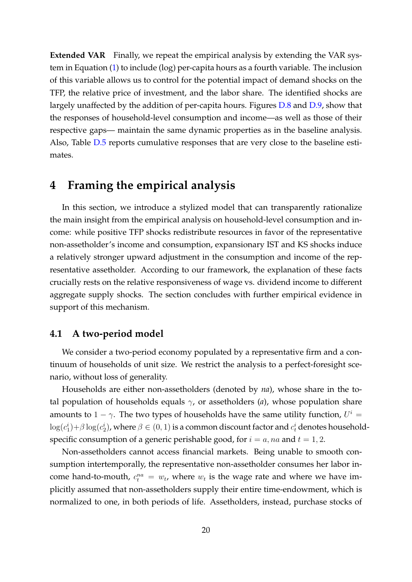**Extended VAR** Finally, we repeat the empirical analysis by extending the VAR system in Equation [\(1\)](#page-10-1) to include (log) per-capita hours as a fourth variable. The inclusion of this variable allows us to control for the potential impact of demand shocks on the TFP, the relative price of investment, and the labor share. The identified shocks are largely unaffected by the addition of per-capita hours. Figures [D.8](#page-55-0) and [D.9,](#page-55-1) show that the responses of household-level consumption and income—as well as those of their respective gaps— maintain the same dynamic properties as in the baseline analysis. Also, Table [D.5](#page-51-1) reports cumulative responses that are very close to the baseline estimates.

### <span id="page-20-0"></span>**4 Framing the empirical analysis**

In this section, we introduce a stylized model that can transparently rationalize the main insight from the empirical analysis on household-level consumption and income: while positive TFP shocks redistribute resources in favor of the representative non-assetholder's income and consumption, expansionary IST and KS shocks induce a relatively stronger upward adjustment in the consumption and income of the representative assetholder. According to our framework, the explanation of these facts crucially rests on the relative responsiveness of wage vs. dividend income to different aggregate supply shocks. The section concludes with further empirical evidence in support of this mechanism.

### **4.1 A two-period model**

We consider a two-period economy populated by a representative firm and a continuum of households of unit size. We restrict the analysis to a perfect-foresight scenario, without loss of generality.

Households are either non-assetholders (denoted by *na*), whose share in the total population of households equals  $\gamma$ , or assetholders (*a*), whose population share amounts to  $1 - \gamma$ . The two types of households have the same utility function,  $U^i =$  $\log(c_1^i)+\beta\log(c_2^i)$ , where  $\beta\in(0,1)$  is a common discount factor and  $c_t^i$  denotes householdspecific consumption of a generic perishable good, for  $i = a$ , na and  $t = 1, 2$ .

Non-assetholders cannot access financial markets. Being unable to smooth consumption intertemporally, the representative non-assetholder consumes her labor income hand-to-mouth,  $c_t^{na} = w_t$ , where  $w_t$  is the wage rate and where we have implicitly assumed that non-assetholders supply their entire time-endowment, which is normalized to one, in both periods of life. Assetholders, instead, purchase stocks of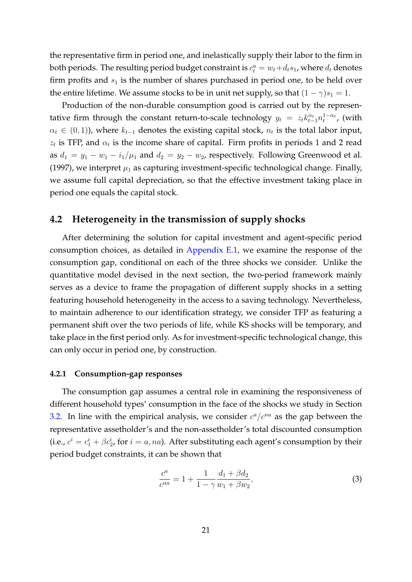the representative firm in period one, and inelastically supply their labor to the firm in both periods. The resulting period budget constraint is  $c_t^a = w_t + d_ts_1$ , where  $d_t$  denotes firm profits and  $s_1$  is the number of shares purchased in period one, to be held over the entire lifetime. We assume stocks to be in unit net supply, so that  $(1 - \gamma)s_1 = 1$ .

Production of the non-durable consumption good is carried out by the representative firm through the constant return-to-scale technology  $y_t = z_t k_{t-1}^{\alpha_t} n_t^{1-\alpha_t}$ , (with  $\alpha_t \in (0,1)$ ), where  $k_{t-1}$  denotes the existing capital stock,  $n_t$  is the total labor input,  $z_t$  is TFP, and  $\alpha_t$  is the income share of capital. Firm profits in periods 1 and 2 read as  $d_1 = y_1 - w_1 - i_1/\mu_1$  and  $d_2 = y_2 - w_2$ , respectively. Following [Greenwood et al.](#page-34-11) [\(1997\)](#page-34-11), we interpret  $\mu_1$  as capturing investment-specific technological change. Finally, we assume full capital depreciation, so that the effective investment taking place in period one equals the capital stock.

### **4.2 Heterogeneity in the transmission of supply shocks**

After determining the solution for capital investment and agent-specific period consumption choices, as detailed in [Appendix E.1,](#page-56-0) we examine the response of the consumption gap, conditional on each of the three shocks we consider. Unlike the quantitative model devised in the next section, the two-period framework mainly serves as a device to frame the propagation of different supply shocks in a setting featuring household heterogeneity in the access to a saving technology. Nevertheless, to maintain adherence to our identification strategy, we consider TFP as featuring a permanent shift over the two periods of life, while KS shocks will be temporary, and take place in the first period only. As for investment-specific technological change, this can only occur in period one, by construction.

#### **4.2.1 Consumption-gap responses**

The consumption gap assumes a central role in examining the responsiveness of different household types' consumption in the face of the shocks we study in Section [3.2.](#page-13-1) In line with the empirical analysis, we consider  $c^a/c^{na}$  as the gap between the representative assetholder's and the non-assetholder's total discounted consumption (i.e.,  $c^i = c_1^i + \beta c_2^i$ , for  $i = a$ , na). After substituting each agent's consumption by their period budget constraints, it can be shown that

<span id="page-21-0"></span>
$$
\frac{c^a}{c^{na}} = 1 + \frac{1}{1 - \gamma} \frac{d_1 + \beta d_2}{w_1 + \beta w_2},\tag{3}
$$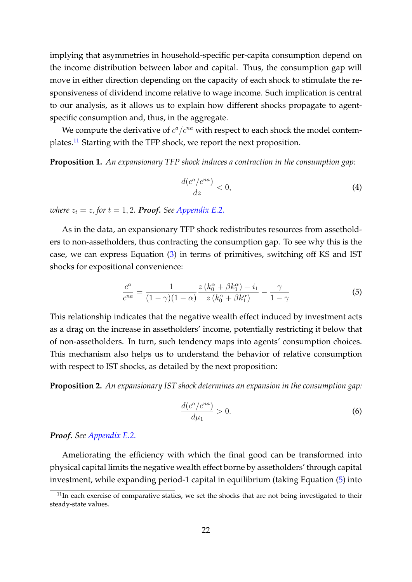implying that asymmetries in household-specific per-capita consumption depend on the income distribution between labor and capital. Thus, the consumption gap will move in either direction depending on the capacity of each shock to stimulate the responsiveness of dividend income relative to wage income. Such implication is central to our analysis, as it allows us to explain how different shocks propagate to agentspecific consumption and, thus, in the aggregate.

We compute the derivative of  $c^a/c^{na}$  with respect to each shock the model contemplates.[11](#page-22-0) Starting with the TFP shock, we report the next proposition.

**Proposition 1.** *An expansionary TFP shock induces a contraction in the consumption gap:*

$$
\frac{d(c^a/c^{na})}{dz} < 0,\tag{4}
$$

*where*  $z_t = z$ , for  $t = 1, 2$ . **Proof.** See [Appendix E.2.](#page-56-1)

As in the data, an expansionary TFP shock redistributes resources from assetholders to non-assetholders, thus contracting the consumption gap. To see why this is the case, we can express Equation [\(3\)](#page-21-0) in terms of primitives, switching off KS and IST shocks for expositional convenience:

<span id="page-22-1"></span>
$$
\frac{c^a}{c^{na}} = \frac{1}{(1-\gamma)(1-\alpha)} \frac{z(k_0^{\alpha} + \beta k_1^{\alpha}) - i_1}{z(k_0^{\alpha} + \beta k_1^{\alpha})} - \frac{\gamma}{1-\gamma}
$$
(5)

This relationship indicates that the negative wealth effect induced by investment acts as a drag on the increase in assetholders' income, potentially restricting it below that of non-assetholders. In turn, such tendency maps into agents' consumption choices. This mechanism also helps us to understand the behavior of relative consumption with respect to IST shocks, as detailed by the next proposition:

**Proposition 2.** *An expansionary IST shock determines an expansion in the consumption gap:*

$$
\frac{d(c^a/c^{na})}{d\mu_1} > 0.
$$
\n(6)

*Proof. See [Appendix E.2.](#page-56-1)*

Ameliorating the efficiency with which the final good can be transformed into physical capital limits the negative wealth effect borne by assetholders' through capital investment, while expanding period-1 capital in equilibrium (taking Equation [\(5\)](#page-22-1) into

<span id="page-22-0"></span> $11$ In each exercise of comparative statics, we set the shocks that are not being investigated to their steady-state values.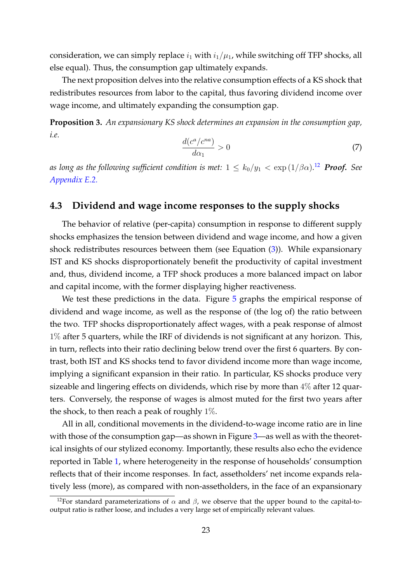consideration, we can simply replace  $i_1$  with  $i_1/\mu_1$ , while switching off TFP shocks, all else equal). Thus, the consumption gap ultimately expands.

The next proposition delves into the relative consumption effects of a KS shock that redistributes resources from labor to the capital, thus favoring dividend income over wage income, and ultimately expanding the consumption gap.

**Proposition 3.** *An expansionary KS shock determines an expansion in the consumption gap, i.e.*

$$
\frac{d(c^a/c^{na})}{d\alpha_1} > 0\tag{7}
$$

as long as the following sufficient condition is met:  $1 \leq k_0/y_1 < \exp{(1/\beta \alpha)}$ .<sup>[12](#page-23-0)</sup> Proof. See *[Appendix E.2.](#page-56-1)*

### **4.3 Dividend and wage income responses to the supply shocks**

The behavior of relative (per-capita) consumption in response to different supply shocks emphasizes the tension between dividend and wage income, and how a given shock redistributes resources between them (see Equation [\(3\)](#page-21-0)). While expansionary IST and KS shocks disproportionately benefit the productivity of capital investment and, thus, dividend income, a TFP shock produces a more balanced impact on labor and capital income, with the former displaying higher reactiveness.

We test these predictions in the data. Figure [5](#page-24-1) graphs the empirical response of dividend and wage income, as well as the response of (the log of) the ratio between the two. TFP shocks disproportionately affect wages, with a peak response of almost 1% after 5 quarters, while the IRF of dividends is not significant at any horizon. This, in turn, reflects into their ratio declining below trend over the first 6 quarters. By contrast, both IST and KS shocks tend to favor dividend income more than wage income, implying a significant expansion in their ratio. In particular, KS shocks produce very sizeable and lingering effects on dividends, which rise by more than 4% after 12 quarters. Conversely, the response of wages is almost muted for the first two years after the shock, to then reach a peak of roughly 1%.

All in all, conditional movements in the dividend-to-wage income ratio are in line with those of the consumption gap—as shown in Figure [3—](#page-15-0)as well as with the theoretical insights of our stylized economy. Importantly, these results also echo the evidence reported in Table [1,](#page-18-0) where heterogeneity in the response of households' consumption reflects that of their income responses. In fact, assetholders' net income expands relatively less (more), as compared with non-assetholders, in the face of an expansionary

<span id="page-23-0"></span><sup>&</sup>lt;sup>12</sup>For standard parameterizations of  $\alpha$  and  $\beta$ , we observe that the upper bound to the capital-tooutput ratio is rather loose, and includes a very large set of empirically relevant values.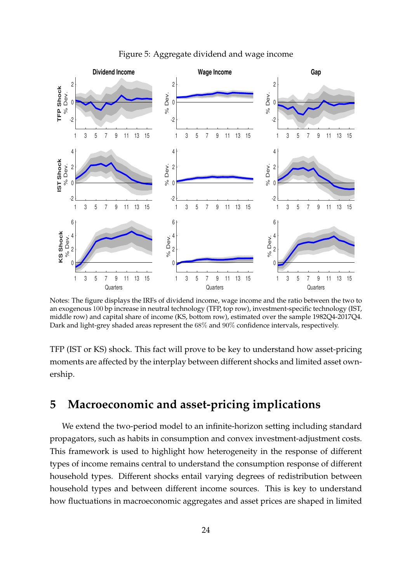<span id="page-24-1"></span>

Figure 5: Aggregate dividend and wage income

Notes: The figure displays the IRFs of dividend income, wage income and the ratio between the two to an exogenous 100 bp increase in neutral technology (TFP, top row), investment-specific technology (IST, middle row) and capital share of income (KS, bottom row), estimated over the sample 1982Q4-2017Q4. Dark and light-grey shaded areas represent the 68% and 90% confidence intervals, respectively.

TFP (IST or KS) shock. This fact will prove to be key to understand how asset-pricing moments are affected by the interplay between different shocks and limited asset ownership.

# <span id="page-24-0"></span>**5 Macroeconomic and asset-pricing implications**

We extend the two-period model to an infinite-horizon setting including standard propagators, such as habits in consumption and convex investment-adjustment costs. This framework is used to highlight how heterogeneity in the response of different types of income remains central to understand the consumption response of different household types. Different shocks entail varying degrees of redistribution between household types and between different income sources. This is key to understand how fluctuations in macroeconomic aggregates and asset prices are shaped in limited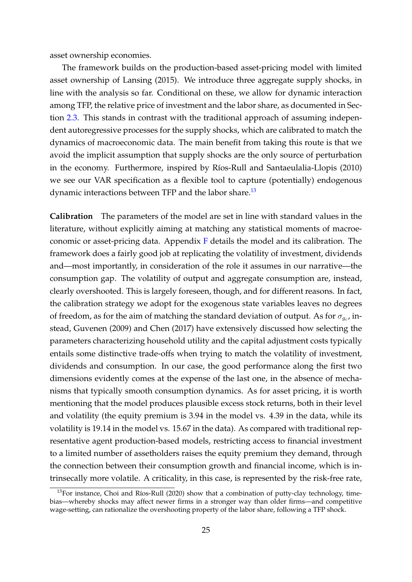asset ownership economies.

The framework builds on the production-based asset-pricing model with limited asset ownership of [Lansing](#page-35-7) [\(2015\)](#page-35-7). We introduce three aggregate supply shocks, in line with the analysis so far. Conditional on these, we allow for dynamic interaction among TFP, the relative price of investment and the labor share, as documented in Section [2.3.](#page-9-0) This stands in contrast with the traditional approach of assuming independent autoregressive processes for the supply shocks, which are calibrated to match the dynamics of macroeconomic data. The main benefit from taking this route is that we avoid the implicit assumption that supply shocks are the only source of perturbation in the economy. Furthermore, inspired by Ríos-Rull and Santaeulalia-Llopis [\(2010\)](#page-36-2) we see our VAR specification as a flexible tool to capture (potentially) endogenous dynamic interactions between TFP and the labor share.<sup>[13](#page-25-0)</sup>

**Calibration** The parameters of the model are set in line with standard values in the literature, without explicitly aiming at matching any statistical moments of macroeconomic or asset-pricing data. Appendix [F](#page-58-0) details the model and its calibration. The framework does a fairly good job at replicating the volatility of investment, dividends and—most importantly, in consideration of the role it assumes in our narrative—the consumption gap. The volatility of output and aggregate consumption are, instead, clearly overshooted. This is largely foreseen, though, and for different reasons. In fact, the calibration strategy we adopt for the exogenous state variables leaves no degrees of freedom, as for the aim of matching the standard deviation of output. As for  $\sigma_{g_c}$ , instead, [Guvenen](#page-34-3) [\(2009\)](#page-34-3) and [Chen](#page-32-11) [\(2017\)](#page-32-11) have extensively discussed how selecting the parameters characterizing household utility and the capital adjustment costs typically entails some distinctive trade-offs when trying to match the volatility of investment, dividends and consumption. In our case, the good performance along the first two dimensions evidently comes at the expense of the last one, in the absence of mechanisms that typically smooth consumption dynamics. As for asset pricing, it is worth mentioning that the model produces plausible excess stock returns, both in their level and volatility (the equity premium is 3.94 in the model vs. 4.39 in the data, while its volatility is 19.14 in the model vs. 15.67 in the data). As compared with traditional representative agent production-based models, restricting access to financial investment to a limited number of assetholders raises the equity premium they demand, through the connection between their consumption growth and financial income, which is intrinsecally more volatile. A criticality, in this case, is represented by the risk-free rate,

<span id="page-25-0"></span> $13$ For instance, Choi and Ríos-Rull [\(2020\)](#page-32-9) show that a combination of putty-clay technology, timebias—whereby shocks may affect newer firms in a stronger way than older firms—and competitive wage-setting, can rationalize the overshooting property of the labor share, following a TFP shock.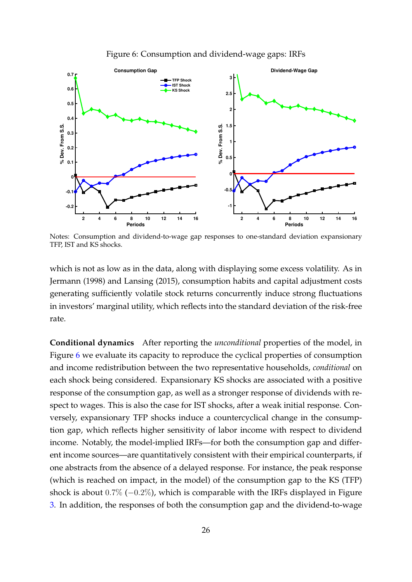<span id="page-26-0"></span>

Figure 6: Consumption and dividend-wage gaps: IRFs

Notes: Consumption and dividend-to-wage gap responses to one-standard deviation expansionary TFP, IST and KS shocks.

which is not as low as in the data, along with displaying some excess volatility. As in [Jermann](#page-34-0) [\(1998\)](#page-34-0) and [Lansing](#page-35-7) [\(2015\)](#page-35-7), consumption habits and capital adjustment costs generating sufficiently volatile stock returns concurrently induce strong fluctuations in investors' marginal utility, which reflects into the standard deviation of the risk-free rate.

**Conditional dynamics** After reporting the *unconditional* properties of the model, in Figure [6](#page-26-0) we evaluate its capacity to reproduce the cyclical properties of consumption and income redistribution between the two representative households, *conditional* on each shock being considered. Expansionary KS shocks are associated with a positive response of the consumption gap, as well as a stronger response of dividends with respect to wages. This is also the case for IST shocks, after a weak initial response. Conversely, expansionary TFP shocks induce a countercyclical change in the consumption gap, which reflects higher sensitivity of labor income with respect to dividend income. Notably, the model-implied IRFs—for both the consumption gap and different income sources—are quantitatively consistent with their empirical counterparts, if one abstracts from the absence of a delayed response. For instance, the peak response (which is reached on impact, in the model) of the consumption gap to the KS (TFP) shock is about 0.7% (−0.2%), which is comparable with the IRFs displayed in Figure [3.](#page-15-0) In addition, the responses of both the consumption gap and the dividend-to-wage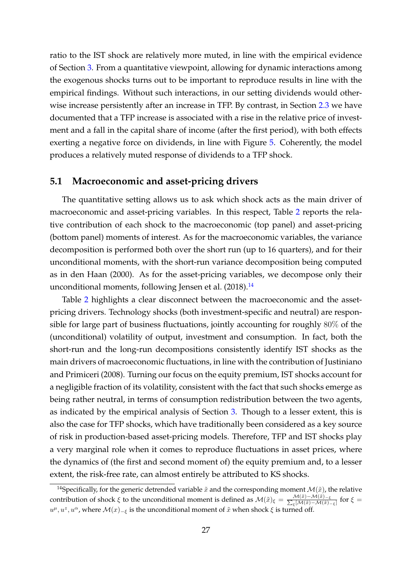ratio to the IST shock are relatively more muted, in line with the empirical evidence of Section [3.](#page-12-0) From a quantitative viewpoint, allowing for dynamic interactions among the exogenous shocks turns out to be important to reproduce results in line with the empirical findings. Without such interactions, in our setting dividends would other-wise increase persistently after an increase in TFP. By contrast, in Section [2.3](#page-9-0) we have documented that a TFP increase is associated with a rise in the relative price of investment and a fall in the capital share of income (after the first period), with both effects exerting a negative force on dividends, in line with Figure [5.](#page-24-1) Coherently, the model produces a relatively muted response of dividends to a TFP shock.

### <span id="page-27-1"></span>**5.1 Macroeconomic and asset-pricing drivers**

The quantitative setting allows us to ask which shock acts as the main driver of macroeconomic and asset-pricing variables. In this respect, Table [2](#page-28-0) reports the relative contribution of each shock to the macroeconomic (top panel) and asset-pricing (bottom panel) moments of interest. As for the macroeconomic variables, the variance decomposition is performed both over the short run (up to 16 quarters), and for their unconditional moments, with the short-run variance decomposition being computed as in [den Haan](#page-33-10) [\(2000\)](#page-33-10). As for the asset-pricing variables, we decompose only their unconditional moments, following [Jensen et al.](#page-34-12)  $(2018).$  $(2018).$ <sup>[14](#page-27-0)</sup>

Table [2](#page-28-0) highlights a clear disconnect between the macroeconomic and the assetpricing drivers. Technology shocks (both investment-specific and neutral) are responsible for large part of business fluctuations, jointly accounting for roughly 80% of the (unconditional) volatility of output, investment and consumption. In fact, both the short-run and the long-run decompositions consistently identify IST shocks as the main drivers of macroeconomic fluctuations, in line with the contribution of [Justiniano](#page-34-5) [and Primiceri](#page-34-5) [\(2008\)](#page-34-5). Turning our focus on the equity premium, IST shocks account for a negligible fraction of its volatility, consistent with the fact that such shocks emerge as being rather neutral, in terms of consumption redistribution between the two agents, as indicated by the empirical analysis of Section [3.](#page-12-0) Though to a lesser extent, this is also the case for TFP shocks, which have traditionally been considered as a key source of risk in production-based asset-pricing models. Therefore, TFP and IST shocks play a very marginal role when it comes to reproduce fluctuations in asset prices, where the dynamics of (the first and second moment of) the equity premium and, to a lesser extent, the risk-free rate, can almost entirely be attributed to KS shocks.

<span id="page-27-0"></span><sup>&</sup>lt;sup>14</sup>Specifically, for the generic detrended variable  $\tilde{x}$  and the corresponding moment  $\mathcal{M}(\tilde{x})$ , the relative contribution of shock  $\xi$  to the unconditional moment is defined as  $\mathcal{M}(\tilde{x})_{\xi} = \frac{\mathcal{M}(\tilde{x}) - \mathcal{M}(\tilde{x}) - \mathcal{M}(\tilde{x}) - \mathcal{M}(\tilde{x})}{\sum_{\varepsilon} [\mathcal{M}(\tilde{x}) - \mathcal{M}(\tilde{x}) - \mathcal{M}(\tilde{x})]}$  $\frac{\mathcal{M}(x)-\mathcal{M}(x)-\xi}{\xi[\mathcal{M}(\tilde{x})-\mathcal{M}(\tilde{x})-\xi]}$  for  $\xi=$  $u^{\mu}, u^z, u^{\alpha}$ , where  $\mathcal{M}(x)_{-\xi}$  is the unconditional moment of  $\tilde{x}$  when shock  $\xi$  is turned off.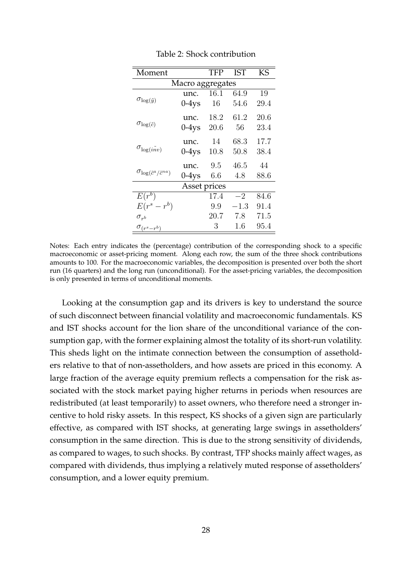<span id="page-28-0"></span>

| Moment                                      |                  | TFP  | <b>IST</b> | KS   |
|---------------------------------------------|------------------|------|------------|------|
|                                             | Macro aggregates |      |            |      |
|                                             | unc.             | 16.1 | 64.9       | 19   |
| $\sigma_{\log(\tilde{y})}$                  | $0-4$ ys         | 16   | 54.6       | 29.4 |
|                                             | unc.             | 18.2 | 61.2       | 20.6 |
| $\sigma_{\log(\tilde{c})}$                  | $0-4$ ys         | 20.6 | 56         | 23.4 |
|                                             | unc.             | 14   | 68.3       | 17.7 |
| $\sigma_{\log(i n v)}$                      | $0-4$ ys         | 10.8 | 50.8       | 38.4 |
|                                             | unc.             | 9.5  | 46.5       | 44   |
| $\sigma_{\log(\tilde{c}^a/\tilde{c}^{na})}$ | $0-4$ ys         | 6.6  | 4.8        | 88.6 |
|                                             | Asset prices     |      |            |      |
| $E(r^b)$                                    |                  | 17.4 | $-2$       | 84.6 |
| $E(r^s-r^b)$                                |                  | 9.9  | $-1.3\,$   | 91.4 |
| $\sigma_{r^{b}}$                            |                  | 20.7 | 7.8        | 71.5 |
| $\sigma_{(r^s-r^b)}$                        |                  | 3    | 1.6        | 95.4 |

Table 2: Shock contribution

Notes: Each entry indicates the (percentage) contribution of the corresponding shock to a specific macroeconomic or asset-pricing moment. Along each row, the sum of the three shock contributions amounts to 100. For the macroeconomic variables, the decomposition is presented over both the short run (16 quarters) and the long run (unconditional). For the asset-pricing variables, the decomposition is only presented in terms of unconditional moments.

Looking at the consumption gap and its drivers is key to understand the source of such disconnect between financial volatility and macroeconomic fundamentals. KS and IST shocks account for the lion share of the unconditional variance of the consumption gap, with the former explaining almost the totality of its short-run volatility. This sheds light on the intimate connection between the consumption of assetholders relative to that of non-assetholders, and how assets are priced in this economy. A large fraction of the average equity premium reflects a compensation for the risk associated with the stock market paying higher returns in periods when resources are redistributed (at least temporarily) to asset owners, who therefore need a stronger incentive to hold risky assets. In this respect, KS shocks of a given sign are particularly effective, as compared with IST shocks, at generating large swings in assetholders' consumption in the same direction. This is due to the strong sensitivity of dividends, as compared to wages, to such shocks. By contrast, TFP shocks mainly affect wages, as compared with dividends, thus implying a relatively muted response of assetholders' consumption, and a lower equity premium.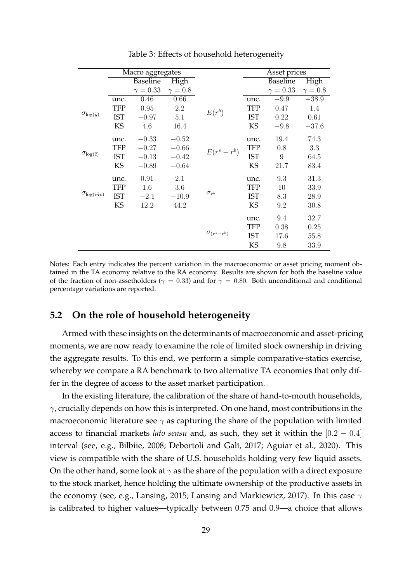<span id="page-29-0"></span>

|                            |            | Macro aggregates |              |                      |            | Asset prices    |              |
|----------------------------|------------|------------------|--------------|----------------------|------------|-----------------|--------------|
|                            |            | <b>Baseline</b>  | High         |                      |            | <b>Baseline</b> | High         |
|                            |            | $\gamma = 0.33$  | $\gamma=0.8$ |                      |            | $\gamma = 0.33$ | $\gamma=0.8$ |
|                            | unc.       | 0.46             | 0.66         |                      | unc.       | $-9.9$          | $-38.9$      |
|                            | <b>TFP</b> | 0.95             | 2.2          | $E(r^b)$             | TFP        | 0.47            | 1.4          |
| $\sigma_{\log(\tilde{y})}$ | <b>IST</b> | $-0.97$          | 5.1          |                      | <b>IST</b> | 0.22            | 0.61         |
|                            | KS         | 4.6              | 16.4         |                      | KS         | $-9.8$          | $-37.6$      |
|                            | unc.       | $-0.33$          | $-0.52$      |                      | unc.       | 19.4            | 74.3         |
|                            | <b>TFP</b> | $-0.27$          | $-0.66$      | $E(r^s-r^b)$         | <b>TFP</b> | 0.8             | 3.3          |
| $\sigma_{\log(\tilde{c})}$ | <b>IST</b> | $-0.13$          | $-0.42$      |                      | <b>IST</b> | 9               | 64.5         |
|                            | KS         | $-0.89$          | $-0.64$      |                      | <b>KS</b>  | 21.7            | 83.4         |
|                            | unc.       | 0.91             | 2.1          |                      | unc.       | 9.3             | 31.3         |
|                            | <b>TFP</b> | 1.6              | 3.6          |                      | <b>TFP</b> | 10              | 33.9         |
| $\sigma_{\log(i n v)}$     | <b>IST</b> | $-2.1$           | $-10.9$      | $\sigma_{r^{b}}$     | <b>IST</b> | 8.3             | 28.9         |
|                            | KS         | 12.2             | 44.2         |                      | KS         | 9.2             | 30.8         |
|                            |            |                  |              |                      | unc.       | 9.4             | 32.7         |
|                            |            |                  |              |                      | TFP        | 0.38            | 0.25         |
|                            |            |                  |              | $\sigma_{(r^s-r^b)}$ | <b>IST</b> | 17.6            | 55.8         |
|                            |            |                  |              |                      | KS         | 9.8             | 33.9         |

Table 3: Effects of household heterogeneity

Notes: Each entry indicates the percent variation in the macroeconomic or asset pricing moment obtained in the TA economy relative to the RA economy. Results are shown for both the baseline value of the fraction of non-assetholders ( $\gamma = 0.33$ ) and for  $\gamma = 0.80$ . Both unconditional and conditional percentage variations are reported.

### **5.2 On the role of household heterogeneity**

Armed with these insights on the determinants of macroeconomic and asset-pricing moments, we are now ready to examine the role of limited stock ownership in driving the aggregate results. To this end, we perform a simple comparative-statics exercise, whereby we compare a RA benchmark to two alternative TA economies that only differ in the degree of access to the asset market participation.

In the existing literature, the calibration of the share of hand-to-mouth households,  $\gamma$ , crucially depends on how this is interpreted. On one hand, most contributions in the macroeconomic literature see  $\gamma$  as capturing the share of the population with limited access to financial markets *lato sensu* and, as such, they set it within the [0.2 − 0.4] interval (see, e.g., [Bilbiie,](#page-32-5) [2008;](#page-32-5) Debortoli and Galí, [2017;](#page-33-5) [Aguiar et al.,](#page-31-3) [2020\)](#page-31-3). This view is compatible with the share of U.S. households holding very few liquid assets. On the other hand, some look at  $\gamma$  as the share of the population with a direct exposure to the stock market, hence holding the ultimate ownership of the productive assets in the economy (see, e.g., [Lansing,](#page-35-7) [2015;](#page-35-7) [Lansing and Markiewicz,](#page-35-12) [2017\)](#page-35-12). In this case  $\gamma$ is calibrated to higher values—typically between 0.75 and 0.9—a choice that allows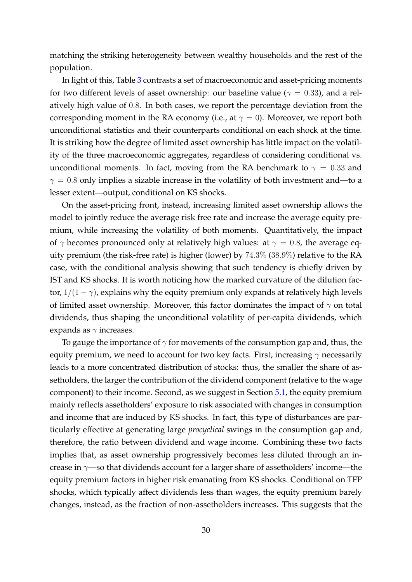matching the striking heterogeneity between wealthy households and the rest of the population.

In light of this, Table [3](#page-29-0) contrasts a set of macroeconomic and asset-pricing moments for two different levels of asset ownership: our baseline value ( $\gamma = 0.33$ ), and a relatively high value of 0.8. In both cases, we report the percentage deviation from the corresponding moment in the RA economy (i.e., at  $\gamma = 0$ ). Moreover, we report both unconditional statistics and their counterparts conditional on each shock at the time. It is striking how the degree of limited asset ownership has little impact on the volatility of the three macroeconomic aggregates, regardless of considering conditional vs. unconditional moments. In fact, moving from the RA benchmark to  $\gamma = 0.33$  and  $\gamma = 0.8$  only implies a sizable increase in the volatility of both investment and—to a lesser extent—output, conditional on KS shocks.

On the asset-pricing front, instead, increasing limited asset ownership allows the model to jointly reduce the average risk free rate and increase the average equity premium, while increasing the volatility of both moments. Quantitatively, the impact of  $\gamma$  becomes pronounced only at relatively high values: at  $\gamma = 0.8$ , the average equity premium (the risk-free rate) is higher (lower) by 74.3% (38.9%) relative to the RA case, with the conditional analysis showing that such tendency is chiefly driven by IST and KS shocks. It is worth noticing how the marked curvature of the dilution factor,  $1/(1 - \gamma)$ , explains why the equity premium only expands at relatively high levels of limited asset ownership. Moreover, this factor dominates the impact of  $\gamma$  on total dividends, thus shaping the unconditional volatility of per-capita dividends, which expands as  $\gamma$  increases.

To gauge the importance of  $\gamma$  for movements of the consumption gap and, thus, the equity premium, we need to account for two key facts. First, increasing  $\gamma$  necessarily leads to a more concentrated distribution of stocks: thus, the smaller the share of assetholders, the larger the contribution of the dividend component (relative to the wage component) to their income. Second, as we suggest in Section [5.1,](#page-27-1) the equity premium mainly reflects assetholders' exposure to risk associated with changes in consumption and income that are induced by KS shocks. In fact, this type of disturbances are particularly effective at generating large *procyclical* swings in the consumption gap and, therefore, the ratio between dividend and wage income. Combining these two facts implies that, as asset ownership progressively becomes less diluted through an increase in  $\gamma$ —so that dividends account for a larger share of assetholders' income—the equity premium factors in higher risk emanating from KS shocks. Conditional on TFP shocks, which typically affect dividends less than wages, the equity premium barely changes, instead, as the fraction of non-assetholders increases. This suggests that the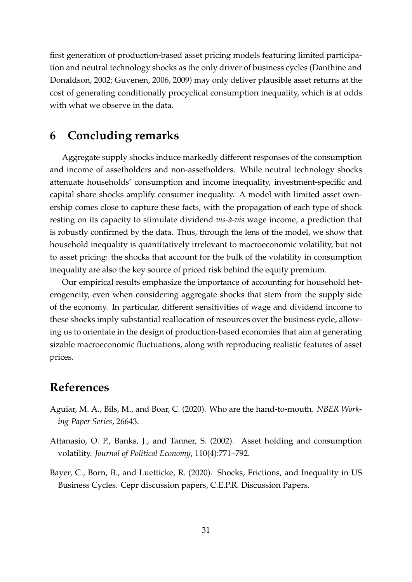first generation of production-based asset pricing models featuring limited participation and neutral technology shocks as the only driver of business cycles [\(Danthine and](#page-33-6) [Donaldson,](#page-33-6) [2002;](#page-33-6) [Guvenen,](#page-34-4) [2006,](#page-34-4) [2009\)](#page-34-3) may only deliver plausible asset returns at the cost of generating conditionally procyclical consumption inequality, which is at odds with what we observe in the data.

## <span id="page-31-1"></span>**6 Concluding remarks**

Aggregate supply shocks induce markedly different responses of the consumption and income of assetholders and non-assetholders. While neutral technology shocks attenuate households' consumption and income inequality, investment-specific and capital share shocks amplify consumer inequality. A model with limited asset ownership comes close to capture these facts, with the propagation of each type of shock resting on its capacity to stimulate dividend *vis-à-vis* wage income, a prediction that is robustly confirmed by the data. Thus, through the lens of the model, we show that household inequality is quantitatively irrelevant to macroeconomic volatility, but not to asset pricing: the shocks that account for the bulk of the volatility in consumption inequality are also the key source of priced risk behind the equity premium.

Our empirical results emphasize the importance of accounting for household heterogeneity, even when considering aggregate shocks that stem from the supply side of the economy. In particular, different sensitivities of wage and dividend income to these shocks imply substantial reallocation of resources over the business cycle, allowing us to orientate in the design of production-based economies that aim at generating sizable macroeconomic fluctuations, along with reproducing realistic features of asset prices.

# **References**

- <span id="page-31-3"></span>Aguiar, M. A., Bils, M., and Boar, C. (2020). Who are the hand-to-mouth. *NBER Working Paper Series*, 26643.
- <span id="page-31-2"></span>Attanasio, O. P., Banks, J., and Tanner, S. (2002). Asset holding and consumption volatility. *Journal of Political Economy*, 110(4):771–792.
- <span id="page-31-0"></span>Bayer, C., Born, B., and Luetticke, R. (2020). Shocks, Frictions, and Inequality in US Business Cycles. Cepr discussion papers, C.E.P.R. Discussion Papers.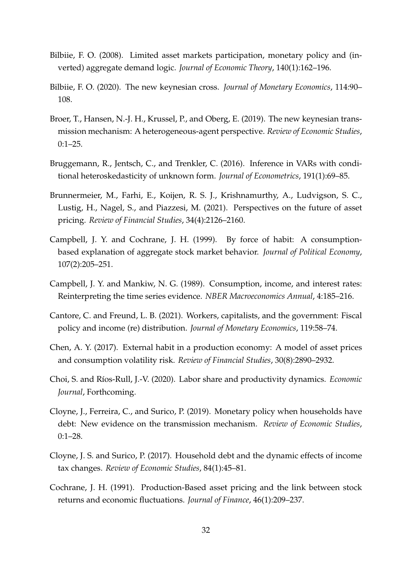- <span id="page-32-5"></span>Bilbiie, F. O. (2008). Limited asset markets participation, monetary policy and (inverted) aggregate demand logic. *Journal of Economic Theory*, 140(1):162–196.
- <span id="page-32-7"></span>Bilbiie, F. O. (2020). The new keynesian cross. *Journal of Monetary Economics*, 114:90– 108.
- <span id="page-32-6"></span>Broer, T., Hansen, N.-J. H., Krussel, P., and Oberg, E. (2019). The new keynesian transmission mechanism: A heterogeneous-agent perspective. *Review of Economic Studies*, 0:1–25.
- <span id="page-32-10"></span>Bruggemann, R., Jentsch, C., and Trenkler, C. (2016). Inference in VARs with conditional heteroskedasticity of unknown form. *Journal of Econometrics*, 191(1):69–85.
- <span id="page-32-1"></span>Brunnermeier, M., Farhi, E., Koijen, R. S. J., Krishnamurthy, A., Ludvigson, S. C., Lustig, H., Nagel, S., and Piazzesi, M. (2021). Perspectives on the future of asset pricing. *Review of Financial Studies*, 34(4):2126–2160.
- <span id="page-32-12"></span>Campbell, J. Y. and Cochrane, J. H. (1999). By force of habit: A consumptionbased explanation of aggregate stock market behavior. *Journal of Political Economy*, 107(2):205–251.
- <span id="page-32-4"></span>Campbell, J. Y. and Mankiw, N. G. (1989). Consumption, income, and interest rates: Reinterpreting the time series evidence. *NBER Macroeconomics Annual*, 4:185–216.
- <span id="page-32-8"></span>Cantore, C. and Freund, L. B. (2021). Workers, capitalists, and the government: Fiscal policy and income (re) distribution. *Journal of Monetary Economics*, 119:58–74.
- <span id="page-32-11"></span>Chen, A. Y. (2017). External habit in a production economy: A model of asset prices and consumption volatility risk. *Review of Financial Studies*, 30(8):2890–2932.
- <span id="page-32-9"></span>Choi, S. and Ríos-Rull, J.-V. (2020). Labor share and productivity dynamics. *Economic Journal*, Forthcoming.
- <span id="page-32-3"></span>Cloyne, J., Ferreira, C., and Surico, P. (2019). Monetary policy when households have debt: New evidence on the transmission mechanism. *Review of Economic Studies*, 0:1–28.
- <span id="page-32-2"></span>Cloyne, J. S. and Surico, P. (2017). Household debt and the dynamic effects of income tax changes. *Review of Economic Studies*, 84(1):45–81.
- <span id="page-32-0"></span>Cochrane, J. H. (1991). Production-Based asset pricing and the link between stock returns and economic fluctuations. *Journal of Finance*, 46(1):209–237.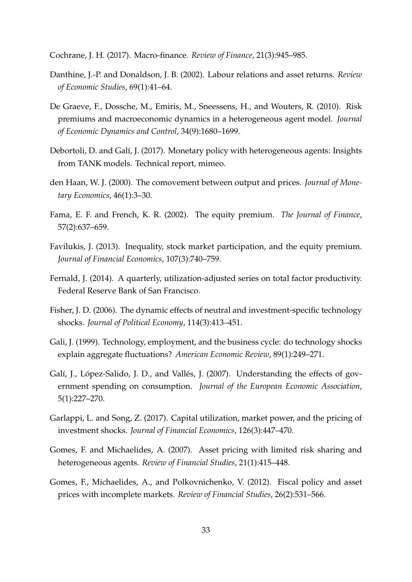<span id="page-33-13"></span>Cochrane, J. H. (2017). Macro-finance. *Review of Finance*, 21(3):945–985.

- <span id="page-33-6"></span>Danthine, J.-P. and Donaldson, J. B. (2002). Labour relations and asset returns. *Review of Economic Studies*, 69(1):41–64.
- <span id="page-33-7"></span>De Graeve, F., Dossche, M., Emiris, M., Sneessens, H., and Wouters, R. (2010). Risk premiums and macroeconomic dynamics in a heterogeneous agent model. *Journal of Economic Dynamics and Control*, 34(9):1680–1699.
- <span id="page-33-5"></span>Debortoli, D. and Galí, J. (2017). Monetary policy with heterogeneous agents: Insights from TANK models. Technical report, mimeo.
- <span id="page-33-10"></span>den Haan, W. J. (2000). The comovement between output and prices. *Journal of Monetary Economics*, 46(1):3–30.
- <span id="page-33-12"></span>Fama, E. F. and French, K. R. (2002). The equity premium. *The Journal of Finance*, 57(2):637–659.
- <span id="page-33-3"></span>Favilukis, J. (2013). Inequality, stock market participation, and the equity premium. *Journal of Financial Economics*, 107(3):740–759.
- <span id="page-33-11"></span>Fernald, J. (2014). A quarterly, utilization-adjusted series on total factor productivity. Federal Reserve Bank of San Francisco.
- <span id="page-33-0"></span>Fisher, J. D. (2006). The dynamic effects of neutral and investment-specific technology shocks. *Journal of Political Economy*, 114(3):413–451.
- <span id="page-33-9"></span>Gali, J. (1999). Technology, employment, and the business cycle: do technology shocks explain aggregate fluctuations? *American Economic Review*, 89(1):249–271.
- <span id="page-33-4"></span>Galí, J., López-Salido, J. D., and Vallés, J. (2007). Understanding the effects of government spending on consumption. *Journal of the European Economic Association*, 5(1):227–270.
- <span id="page-33-8"></span>Garlappi, L. and Song, Z. (2017). Capital utilization, market power, and the pricing of investment shocks. *Journal of Financial Economics*, 126(3):447–470.
- <span id="page-33-2"></span>Gomes, F. and Michaelides, A. (2007). Asset pricing with limited risk sharing and heterogeneous agents. *Review of Financial Studies*, 21(1):415–448.
- <span id="page-33-1"></span>Gomes, F., Michaelides, A., and Polkovnichenko, V. (2012). Fiscal policy and asset prices with incomplete markets. *Review of Financial Studies*, 26(2):531–566.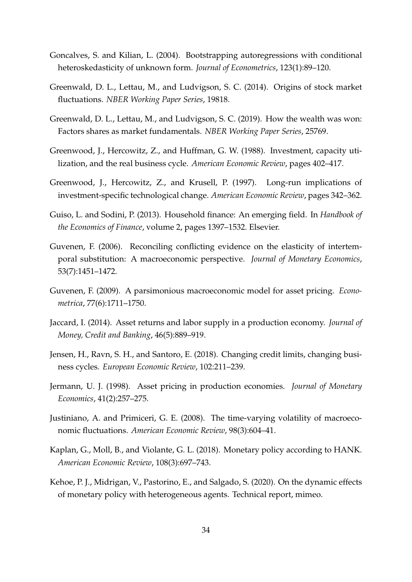- <span id="page-34-8"></span>Goncalves, S. and Kilian, L. (2004). Bootstrapping autoregressions with conditional heteroskedasticity of unknown form. *Journal of Econometrics*, 123(1):89–120.
- <span id="page-34-6"></span>Greenwald, D. L., Lettau, M., and Ludvigson, S. C. (2014). Origins of stock market fluctuations. *NBER Working Paper Series*, 19818.
- <span id="page-34-1"></span>Greenwald, D. L., Lettau, M., and Ludvigson, S. C. (2019). How the wealth was won: Factors shares as market fundamentals. *NBER Working Paper Series*, 25769.
- <span id="page-34-9"></span>Greenwood, J., Hercowitz, Z., and Huffman, G. W. (1988). Investment, capacity utilization, and the real business cycle. *American Economic Review*, pages 402–417.
- <span id="page-34-11"></span>Greenwood, J., Hercowitz, Z., and Krusell, P. (1997). Long-run implications of investment-specific technological change. *American Economic Review*, pages 342–362.
- <span id="page-34-10"></span>Guiso, L. and Sodini, P. (2013). Household finance: An emerging field. In *Handbook of the Economics of Finance*, volume 2, pages 1397–1532. Elsevier.
- <span id="page-34-4"></span>Guvenen, F. (2006). Reconciling conflicting evidence on the elasticity of intertemporal substitution: A macroeconomic perspective. *Journal of Monetary Economics*, 53(7):1451–1472.
- <span id="page-34-3"></span>Guvenen, F. (2009). A parsimonious macroeconomic model for asset pricing. *Econometrica*, 77(6):1711–1750.
- <span id="page-34-13"></span>Jaccard, I. (2014). Asset returns and labor supply in a production economy. *Journal of Money, Credit and Banking*, 46(5):889–919.
- <span id="page-34-12"></span>Jensen, H., Ravn, S. H., and Santoro, E. (2018). Changing credit limits, changing business cycles. *European Economic Review*, 102:211–239.
- <span id="page-34-0"></span>Jermann, U. J. (1998). Asset pricing in production economies. *Journal of Monetary Economics*, 41(2):257–275.
- <span id="page-34-5"></span>Justiniano, A. and Primiceri, G. E. (2008). The time-varying volatility of macroeconomic fluctuations. *American Economic Review*, 98(3):604–41.
- <span id="page-34-2"></span>Kaplan, G., Moll, B., and Violante, G. L. (2018). Monetary policy according to HANK. *American Economic Review*, 108(3):697–743.
- <span id="page-34-7"></span>Kehoe, P. J., Midrigan, V., Pastorino, E., and Salgado, S. (2020). On the dynamic effects of monetary policy with heterogeneous agents. Technical report, mimeo.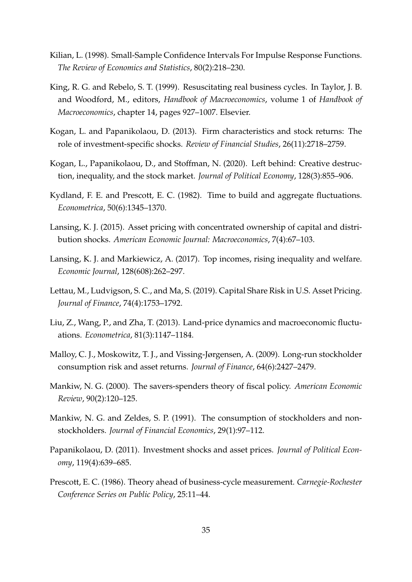- <span id="page-35-11"></span>Kilian, L. (1998). Small-Sample Confidence Intervals For Impulse Response Functions. *The Review of Economics and Statistics*, 80(2):218–230.
- <span id="page-35-2"></span>King, R. G. and Rebelo, S. T. (1999). Resuscitating real business cycles. In Taylor, J. B. and Woodford, M., editors, *Handbook of Macroeconomics*, volume 1 of *Handbook of Macroeconomics*, chapter 14, pages 927–1007. Elsevier.
- <span id="page-35-9"></span>Kogan, L. and Papanikolaou, D. (2013). Firm characteristics and stock returns: The role of investment-specific shocks. *Review of Financial Studies*, 26(11):2718–2759.
- <span id="page-35-5"></span>Kogan, L., Papanikolaou, D., and Stoffman, N. (2020). Left behind: Creative destruction, inequality, and the stock market. *Journal of Political Economy*, 128(3):855–906.
- <span id="page-35-0"></span>Kydland, F. E. and Prescott, E. C. (1982). Time to build and aggregate fluctuations. *Econometrica*, 50(6):1345–1370.
- <span id="page-35-7"></span>Lansing, K. J. (2015). Asset pricing with concentrated ownership of capital and distribution shocks. *American Economic Journal: Macroeconomics*, 7(4):67–103.
- <span id="page-35-12"></span>Lansing, K. J. and Markiewicz, A. (2017). Top incomes, rising inequality and welfare. *Economic Journal*, 128(608):262–297.
- <span id="page-35-4"></span>Lettau, M., Ludvigson, S. C., and Ma, S. (2019). Capital Share Risk in U.S. Asset Pricing. *Journal of Finance*, 74(4):1753–1792.
- <span id="page-35-13"></span>Liu, Z., Wang, P., and Zha, T. (2013). Land-price dynamics and macroeconomic fluctuations. *Econometrica*, 81(3):1147–1184.
- <span id="page-35-3"></span>Malloy, C. J., Moskowitz, T. J., and Vissing-Jørgensen, A. (2009). Long-run stockholder consumption risk and asset returns. *Journal of Finance*, 64(6):2427–2479.
- <span id="page-35-6"></span>Mankiw, N. G. (2000). The savers-spenders theory of fiscal policy. *American Economic Review*, 90(2):120–125.
- <span id="page-35-10"></span>Mankiw, N. G. and Zeldes, S. P. (1991). The consumption of stockholders and nonstockholders. *Journal of Financial Economics*, 29(1):97–112.
- <span id="page-35-8"></span>Papanikolaou, D. (2011). Investment shocks and asset prices. *Journal of Political Economy*, 119(4):639–685.
- <span id="page-35-1"></span>Prescott, E. C. (1986). Theory ahead of business-cycle measurement. *Carnegie-Rochester Conference Series on Public Policy*, 25:11–44.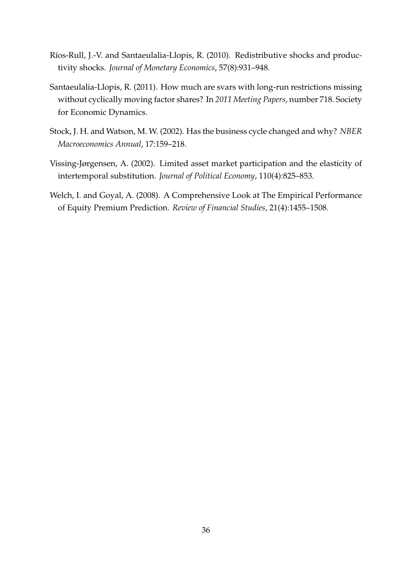- <span id="page-36-2"></span>Ríos-Rull, J.-V. and Santaeulalia-Llopis, R. (2010). Redistributive shocks and productivity shocks. *Journal of Monetary Economics*, 57(8):931–948.
- <span id="page-36-0"></span>Santaeulalia-Llopis, R. (2011). How much are svars with long-run restrictions missing without cyclically moving factor shares? In *2011 Meeting Papers*, number 718. Society for Economic Dynamics.
- <span id="page-36-3"></span>Stock, J. H. and Watson, M. W. (2002). Has the business cycle changed and why? *NBER Macroeconomics Annual*, 17:159–218.
- <span id="page-36-1"></span>Vissing-Jørgensen, A. (2002). Limited asset market participation and the elasticity of intertemporal substitution. *Journal of Political Economy*, 110(4):825–853.
- <span id="page-36-4"></span>Welch, I. and Goyal, A. (2008). A Comprehensive Look at The Empirical Performance of Equity Premium Prediction. *Review of Financial Studies*, 21(4):1455–1508.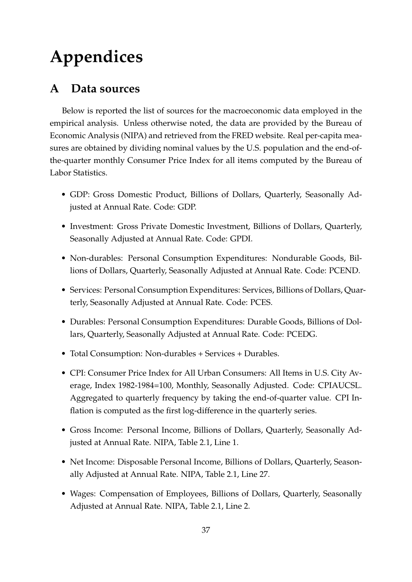# **Appendices**

# <span id="page-37-0"></span>**A Data sources**

Below is reported the list of sources for the macroeconomic data employed in the empirical analysis. Unless otherwise noted, the data are provided by the Bureau of Economic Analysis (NIPA) and retrieved from the FRED website. Real per-capita measures are obtained by dividing nominal values by the U.S. population and the end-ofthe-quarter monthly Consumer Price Index for all items computed by the Bureau of Labor Statistics.

- GDP: Gross Domestic Product, Billions of Dollars, Quarterly, Seasonally Adjusted at Annual Rate. Code: GDP.
- Investment: Gross Private Domestic Investment, Billions of Dollars, Quarterly, Seasonally Adjusted at Annual Rate. Code: GPDI.
- Non-durables: Personal Consumption Expenditures: Nondurable Goods, Billions of Dollars, Quarterly, Seasonally Adjusted at Annual Rate. Code: PCEND.
- Services: Personal Consumption Expenditures: Services, Billions of Dollars, Quarterly, Seasonally Adjusted at Annual Rate. Code: PCES.
- Durables: Personal Consumption Expenditures: Durable Goods, Billions of Dollars, Quarterly, Seasonally Adjusted at Annual Rate. Code: PCEDG.
- Total Consumption: Non-durables + Services + Durables.
- CPI: Consumer Price Index for All Urban Consumers: All Items in U.S. City Average, Index 1982-1984=100, Monthly, Seasonally Adjusted. Code: CPIAUCSL. Aggregated to quarterly frequency by taking the end-of-quarter value. CPI Inflation is computed as the first log-difference in the quarterly series.
- Gross Income: Personal Income, Billions of Dollars, Quarterly, Seasonally Adjusted at Annual Rate. NIPA, Table 2.1, Line 1.
- Net Income: Disposable Personal Income, Billions of Dollars, Quarterly, Seasonally Adjusted at Annual Rate. NIPA, Table 2.1, Line 27.
- Wages: Compensation of Employees, Billions of Dollars, Quarterly, Seasonally Adjusted at Annual Rate. NIPA, Table 2.1, Line 2.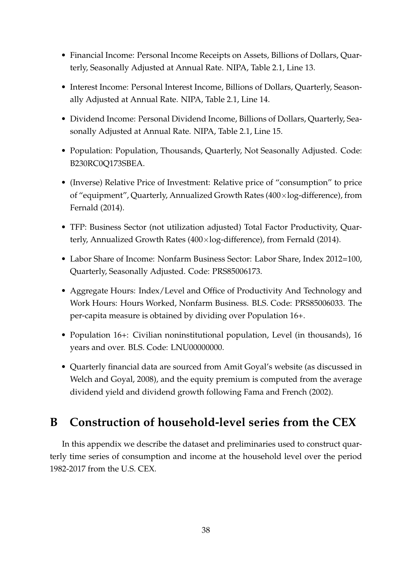- Financial Income: Personal Income Receipts on Assets, Billions of Dollars, Quarterly, Seasonally Adjusted at Annual Rate. NIPA, Table 2.1, Line 13.
- Interest Income: Personal Interest Income, Billions of Dollars, Quarterly, Seasonally Adjusted at Annual Rate. NIPA, Table 2.1, Line 14.
- Dividend Income: Personal Dividend Income, Billions of Dollars, Quarterly, Seasonally Adjusted at Annual Rate. NIPA, Table 2.1, Line 15.
- Population: Population, Thousands, Quarterly, Not Seasonally Adjusted. Code: B230RC0Q173SBEA.
- (Inverse) Relative Price of Investment: Relative price of "consumption" to price of "equipment", Quarterly, Annualized Growth Rates (400×log-difference), from [Fernald](#page-33-11) [\(2014\)](#page-33-11).
- TFP: Business Sector (not utilization adjusted) Total Factor Productivity, Quarterly, Annualized Growth Rates (400×log-difference), from [Fernald](#page-33-11) [\(2014\)](#page-33-11).
- Labor Share of Income: Nonfarm Business Sector: Labor Share, Index 2012=100, Quarterly, Seasonally Adjusted. Code: PRS85006173.
- Aggregate Hours: Index/Level and Office of Productivity And Technology and Work Hours: Hours Worked, Nonfarm Business. BLS. Code: PRS85006033. The per-capita measure is obtained by dividing over Population 16+.
- Population 16+: Civilian noninstitutional population, Level (in thousands), 16 years and over. BLS. Code: LNU00000000.
- Quarterly financial data are sourced from Amit Goyal's website (as discussed in [Welch and Goyal,](#page-36-4) [2008\)](#page-36-4), and the equity premium is computed from the average dividend yield and dividend growth following [Fama and French](#page-33-12) [\(2002\)](#page-33-12).

# <span id="page-38-0"></span>**B Construction of household-level series from the CEX**

In this appendix we describe the dataset and preliminaries used to construct quarterly time series of consumption and income at the household level over the period 1982-2017 from the U.S. CEX.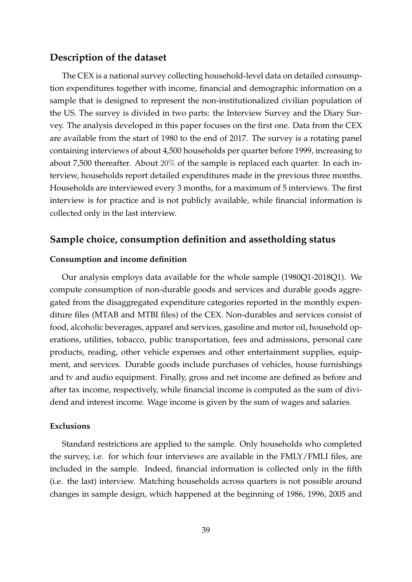### **Description of the dataset**

The CEX is a national survey collecting household-level data on detailed consumption expenditures together with income, financial and demographic information on a sample that is designed to represent the non-institutionalized civilian population of the US. The survey is divided in two parts: the Interview Survey and the Diary Survey. The analysis developed in this paper focuses on the first one. Data from the CEX are available from the start of 1980 to the end of 2017. The survey is a rotating panel containing interviews of about 4,500 households per quarter before 1999, increasing to about 7,500 thereafter. About 20% of the sample is replaced each quarter. In each interview, households report detailed expenditures made in the previous three months. Households are interviewed every 3 months, for a maximum of 5 interviews. The first interview is for practice and is not publicly available, while financial information is collected only in the last interview.

### **Sample choice, consumption definition and assetholding status**

### **Consumption and income definition**

Our analysis employs data available for the whole sample (1980Q1-2018Q1). We compute consumption of non-durable goods and services and durable goods aggregated from the disaggregated expenditure categories reported in the monthly expenditure files (MTAB and MTBI files) of the CEX. Non-durables and services consist of food, alcoholic beverages, apparel and services, gasoline and motor oil, household operations, utilities, tobacco, public transportation, fees and admissions, personal care products, reading, other vehicle expenses and other entertainment supplies, equipment, and services. Durable goods include purchases of vehicles, house furnishings and tv and audio equipment. Finally, gross and net income are defined as before and after tax income, respectively, while financial income is computed as the sum of dividend and interest income. Wage income is given by the sum of wages and salaries.

### **Exclusions**

Standard restrictions are applied to the sample. Only households who completed the survey, i.e. for which four interviews are available in the FMLY/FMLI files, are included in the sample. Indeed, financial information is collected only in the fifth (i.e. the last) interview. Matching households across quarters is not possible around changes in sample design, which happened at the beginning of 1986, 1996, 2005 and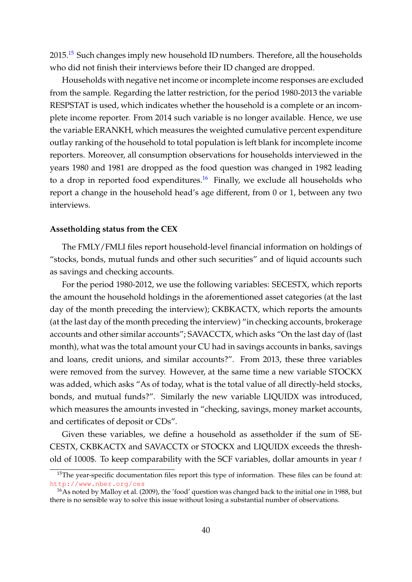20[15](#page-40-0).<sup>15</sup> Such changes imply new household ID numbers. Therefore, all the households who did not finish their interviews before their ID changed are dropped.

Households with negative net income or incomplete income responses are excluded from the sample. Regarding the latter restriction, for the period 1980-2013 the variable RESPSTAT is used, which indicates whether the household is a complete or an incomplete income reporter. From 2014 such variable is no longer available. Hence, we use the variable ERANKH, which measures the weighted cumulative percent expenditure outlay ranking of the household to total population is left blank for incomplete income reporters. Moreover, all consumption observations for households interviewed in the years 1980 and 1981 are dropped as the food question was changed in 1982 leading to a drop in reported food expenditures.<sup>[16](#page-40-1)</sup> Finally, we exclude all households who report a change in the household head's age different, from 0 or 1, between any two interviews.

#### **Assetholding status from the CEX**

The FMLY/FMLI files report household-level financial information on holdings of "stocks, bonds, mutual funds and other such securities" and of liquid accounts such as savings and checking accounts.

For the period 1980-2012, we use the following variables: SECESTX, which reports the amount the household holdings in the aforementioned asset categories (at the last day of the month preceding the interview); CKBKACTX, which reports the amounts (at the last day of the month preceding the interview) "in checking accounts, brokerage accounts and other similar accounts"; SAVACCTX, which asks "On the last day of (last month), what was the total amount your CU had in savings accounts in banks, savings and loans, credit unions, and similar accounts?". From 2013, these three variables were removed from the survey. However, at the same time a new variable STOCKX was added, which asks "As of today, what is the total value of all directly-held stocks, bonds, and mutual funds?". Similarly the new variable LIQUIDX was introduced, which measures the amounts invested in "checking, savings, money market accounts, and certificates of deposit or CDs".

Given these variables, we define a household as assetholder if the sum of SE-CESTX, CKBKACTX and SAVACCTX or STOCKX and LIQUIDX exceeds the threshold of 1000\$. To keep comparability with the SCF variables, dollar amounts in year  $t$ 

<span id="page-40-0"></span><sup>&</sup>lt;sup>15</sup>The year-specific documentation files report this type of information. These files can be found at: <http://www.nber.org/ces>

<span id="page-40-1"></span><sup>&</sup>lt;sup>16</sup>As noted by [Malloy et al.](#page-35-3) [\(2009\)](#page-35-3), the 'food' question was changed back to the initial one in 1988, but there is no sensible way to solve this issue without losing a substantial number of observations.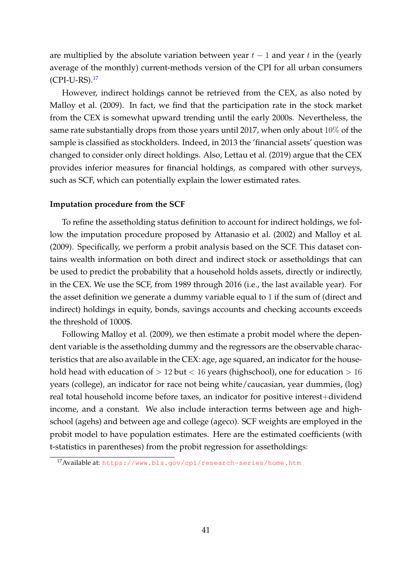are multiplied by the absolute variation between year  $t - 1$  and year t in the (yearly average of the monthly) current-methods version of the CPI for all urban consumers (CPI-U-RS).[17](#page-41-0)

However, indirect holdings cannot be retrieved from the CEX, as also noted by [Malloy et al.](#page-35-3) [\(2009\)](#page-35-3). In fact, we find that the participation rate in the stock market from the CEX is somewhat upward trending until the early 2000s. Nevertheless, the same rate substantially drops from those years until 2017, when only about 10% of the sample is classified as stockholders. Indeed, in 2013 the 'financial assets' question was changed to consider only direct holdings. Also, [Lettau et al.](#page-35-4) [\(2019\)](#page-35-4) argue that the CEX provides inferior measures for financial holdings, as compared with other surveys, such as SCF, which can potentially explain the lower estimated rates.

### **Imputation procedure from the SCF**

To refine the assetholding status definition to account for indirect holdings, we follow the imputation procedure proposed by [Attanasio et al.](#page-31-2) [\(2002\)](#page-31-2) and [Malloy et al.](#page-35-3) [\(2009\)](#page-35-3). Specifically, we perform a probit analysis based on the SCF. This dataset contains wealth information on both direct and indirect stock or assetholdings that can be used to predict the probability that a household holds assets, directly or indirectly, in the CEX. We use the SCF, from 1989 through 2016 (i.e., the last available year). For the asset definition we generate a dummy variable equal to 1 if the sum of (direct and indirect) holdings in equity, bonds, savings accounts and checking accounts exceeds the threshold of 1000\$.

Following [Malloy et al.](#page-35-3) [\(2009\)](#page-35-3), we then estimate a probit model where the dependent variable is the assetholding dummy and the regressors are the observable characteristics that are also available in the CEX: age, age squared, an indicator for the household head with education of  $> 12$  but  $< 16$  years (highschool), one for education  $> 16$ years (college), an indicator for race not being white/caucasian, year dummies, (log) real total household income before taxes, an indicator for positive interest+dividend income, and a constant. We also include interaction terms between age and highschool (agehs) and between age and college (ageco). SCF weights are employed in the probit model to have population estimates. Here are the estimated coefficients (with t-statistics in parentheses) from the probit regression for assetholdings:

<span id="page-41-0"></span><sup>17</sup>Available at: <https://www.bls.gov/cpi/research-series/home.htm>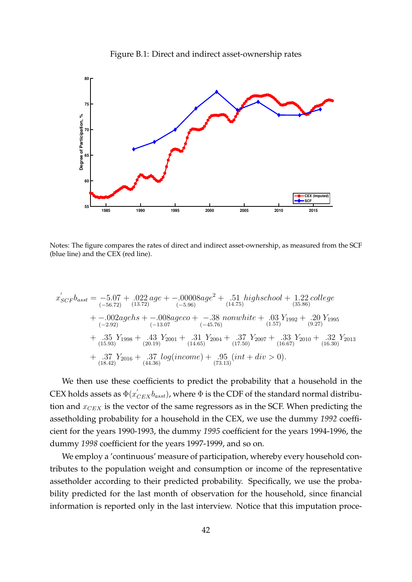

<span id="page-42-0"></span>

Notes: The figure compares the rates of direct and indirect asset-ownership, as measured from the SCF (blue line) and the CEX (red line).

$$
x'_{SCF}b_{asst} = -5.07 + .022 age + -.00008 age2 + .51 high school + 1.22 college+ -.002 agehs + -.008 ageco + -.38 nonwhite + .03 Y1992 + .20 Y1995+ -.002 agehs + -.008 ageco + -.38 nonwhite + .03 Y1992 + .20 Y1995+ .35 Y1998 + .43 Y2001 + .31 Y2004 + .37 Y2007 + .33 Y2010 + .32 Y2013+ .37 Y2016 + .37 log(income) + .95 (int + div > 0).+ .37 Y2016 + .37 log(income) + .95 (int + div > 0).
$$

We then use these coefficients to predict the probability that a household in the CEX holds assets as  $\Phi(x_{CEX}^{'}b_{asst})$ , where  $\Phi$  is the CDF of the standard normal distribution and  $x_{CEX}$  is the vector of the same regressors as in the SCF. When predicting the assetholding probability for a household in the CEX, we use the dummy *1992* coefficient for the years 1990-1993, the dummy *1995* coefficient for the years 1994-1996, the dummy *1998* coefficient for the years 1997-1999, and so on.

We employ a 'continuous' measure of participation, whereby every household contributes to the population weight and consumption or income of the representative assetholder according to their predicted probability. Specifically, we use the probability predicted for the last month of observation for the household, since financial information is reported only in the last interview. Notice that this imputation proce-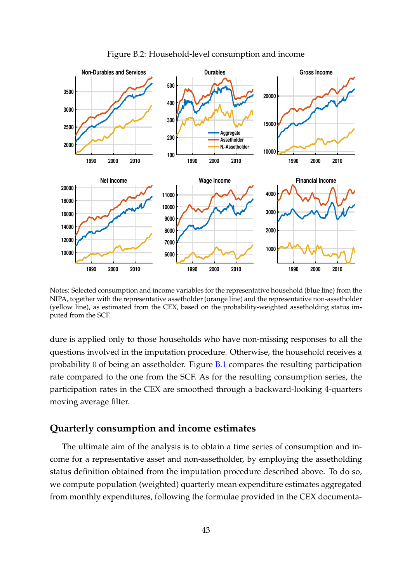<span id="page-43-0"></span>

Figure B.2: Household-level consumption and income

Notes: Selected consumption and income variables for the representative household (blue line) from the NIPA, together with the representative assetholder (orange line) and the representative non-assetholder (yellow line), as estimated from the CEX, based on the probability-weighted assetholding status imputed from the SCF.

dure is applied only to those households who have non-missing responses to all the questions involved in the imputation procedure. Otherwise, the household receives a probability 0 of being an assetholder. Figure  $B.1$  compares the resulting participation rate compared to the one from the SCF. As for the resulting consumption series, the participation rates in the CEX are smoothed through a backward-looking 4-quarters moving average filter.

### **Quarterly consumption and income estimates**

The ultimate aim of the analysis is to obtain a time series of consumption and income for a representative asset and non-assetholder, by employing the assetholding status definition obtained from the imputation procedure described above. To do so, we compute population (weighted) quarterly mean expenditure estimates aggregated from monthly expenditures, following the formulae provided in the CEX documenta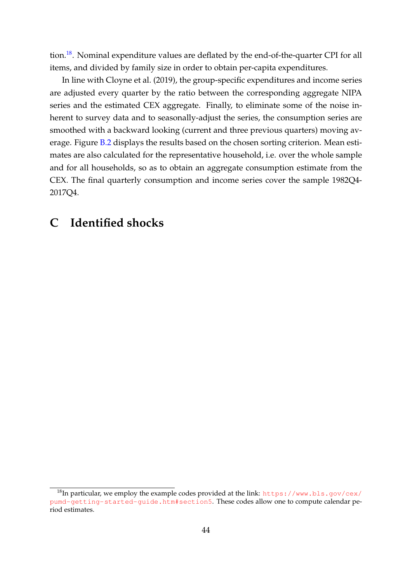tion.<sup>[18](#page-44-1)</sup>. Nominal expenditure values are deflated by the end-of-the-quarter CPI for all items, and divided by family size in order to obtain per-capita expenditures.

In line with [Cloyne et al.](#page-32-3) [\(2019\)](#page-32-3), the group-specific expenditures and income series are adjusted every quarter by the ratio between the corresponding aggregate NIPA series and the estimated CEX aggregate. Finally, to eliminate some of the noise inherent to survey data and to seasonally-adjust the series, the consumption series are smoothed with a backward looking (current and three previous quarters) moving av-erage. Figure [B.2](#page-43-0) displays the results based on the chosen sorting criterion. Mean estimates are also calculated for the representative household, i.e. over the whole sample and for all households, so as to obtain an aggregate consumption estimate from the CEX. The final quarterly consumption and income series cover the sample 1982Q4- 2017Q4.

## <span id="page-44-0"></span>**C Identified shocks**

<span id="page-44-1"></span> $18$ In particular, we employ the example codes provided at the link: [https://www.bls.gov/cex/](https://www.bls.gov/cex/pumd-getting-started-guide.htm##section5) [pumd-getting-started-guide.htm#section5](https://www.bls.gov/cex/pumd-getting-started-guide.htm##section5). These codes allow one to compute calendar period estimates.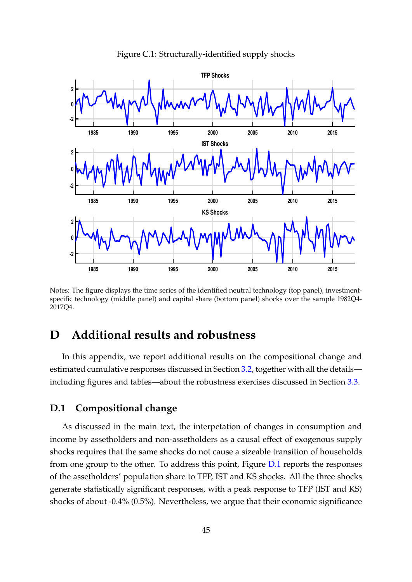<span id="page-45-0"></span>

Figure C.1: Structurally-identified supply shocks

Notes: The figure displays the time series of the identified neutral technology (top panel), investmentspecific technology (middle panel) and capital share (bottom panel) shocks over the sample 1982Q4- 2017Q4.

## <span id="page-45-1"></span>**D Additional results and robustness**

In this appendix, we report additional results on the compositional change and estimated cumulative responses discussed in Section [3.2,](#page-13-1) together with all the details including figures and tables—about the robustness exercises discussed in Section [3.3.](#page-17-0)

### **D.1 Compositional change**

As discussed in the main text, the interpetation of changes in consumption and income by assetholders and non-assetholders as a causal effect of exogenous supply shocks requires that the same shocks do not cause a sizeable transition of households from one group to the other. To address this point, Figure [D.1](#page-46-0) reports the responses of the assetholders' population share to TFP, IST and KS shocks. All the three shocks generate statistically significant responses, with a peak response to TFP (IST and KS) shocks of about -0.4% (0.5%). Nevertheless, we argue that their economic significance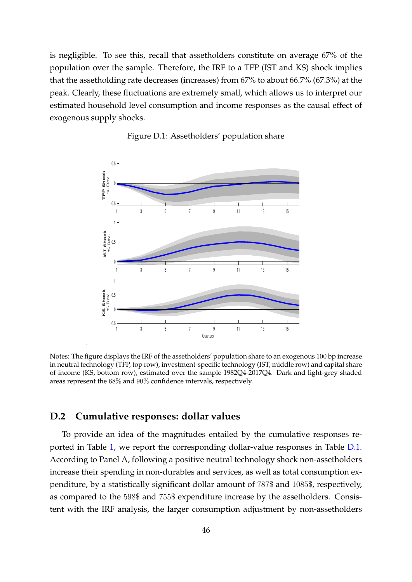is negligible. To see this, recall that assetholders constitute on average 67% of the population over the sample. Therefore, the IRF to a TFP (IST and KS) shock implies that the assetholding rate decreases (increases) from 67% to about 66.7% (67.3%) at the peak. Clearly, these fluctuations are extremely small, which allows us to interpret our estimated household level consumption and income responses as the causal effect of exogenous supply shocks.

<span id="page-46-0"></span>

Figure D.1: Assetholders' population share

Notes: The figure displays the IRF of the assetholders' population share to an exogenous 100 bp increase in neutral technology (TFP, top row), investment-specific technology (IST, middle row) and capital share of income (KS, bottom row), estimated over the sample 1982Q4-2017Q4. Dark and light-grey shaded areas represent the 68% and 90% confidence intervals, respectively.

### **D.2 Cumulative responses: dollar values**

To provide an idea of the magnitudes entailed by the cumulative responses reported in Table [1,](#page-18-0) we report the corresponding dollar-value responses in Table [D.1.](#page-47-0) According to Panel A, following a positive neutral technology shock non-assetholders increase their spending in non-durables and services, as well as total consumption expenditure, by a statistically significant dollar amount of 787\$ and 1085\$, respectively, as compared to the 598\$ and 755\$ expenditure increase by the assetholders. Consistent with the IRF analysis, the larger consumption adjustment by non-assetholders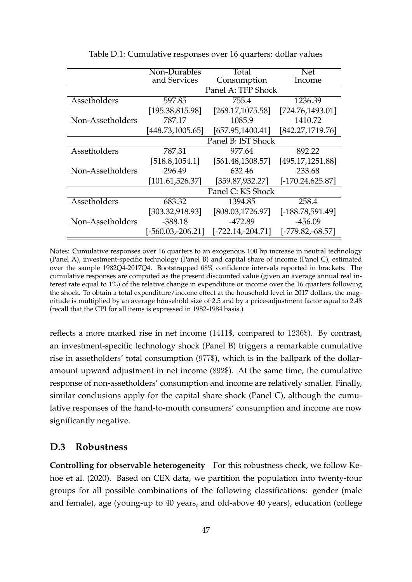<span id="page-47-0"></span>

|                  | Non-Durables        | Total               | <b>Net</b>          |
|------------------|---------------------|---------------------|---------------------|
|                  | and Services        | Consumption         | Income              |
|                  |                     | Panel A: TFP Shock  |                     |
| Assetholders     | 597.85              | 755.4               | 1236.39             |
|                  | [195.38, 815.98]    | [268.17, 1075.58]   | [724.76, 1493.01]   |
| Non-Assetholders | 787.17              | 1085.9              | 1410.72             |
|                  | [448.73,1005.65]    | [657.95, 1400.41]   | [842.27, 1719.76]   |
|                  |                     | Panel B: IST Shock  |                     |
| Assetholders     | 787.31              | 977.64              | 892.22              |
|                  | [518.8, 1054.1]     | [561.48, 1308.57]   | [495.17,1251.88]    |
| Non-Assetholders | 296.49              | 632.46              | 233.68              |
|                  | [101.61, 526.37]    | [359.87, 932.27]    | $[-170.24, 625.87]$ |
|                  |                     | Panel C: KS Shock   |                     |
| Assetholders     | 683.32              | 1394.85             | 258.4               |
|                  | [303.32,918.93]     | [808.03,1726.97]    | $[-188.78, 591.49]$ |
| Non-Assetholders | $-388.18$           | $-472.89$           | $-456.09$           |
|                  | $[-560.03,-206.21]$ | $[-722.14,-204.71]$ | $[-779.82, -68.57]$ |

Table D.1: Cumulative responses over 16 quarters: dollar values

Notes: Cumulative responses over 16 quarters to an exogenous 100 bp increase in neutral technology (Panel A), investment-specific technology (Panel B) and capital share of income (Panel C), estimated over the sample 1982Q4-2017Q4. Bootstrapped 68% confidence intervals reported in brackets. The cumulative responses are computed as the present discounted value (given an average annual real interest rate equal to 1%) of the relative change in expenditure or income over the 16 quarters following the shock. To obtain a total expenditure/income effect at the household level in 2017 dollars, the magnitude is multiplied by an average household size of 2.5 and by a price-adjustment factor equal to 2.48 (recall that the CPI for all items is expressed in 1982-1984 basis.)

reflects a more marked rise in net income (1411\$, compared to 1236\$). By contrast, an investment-specific technology shock (Panel B) triggers a remarkable cumulative rise in assetholders' total consumption (977\$), which is in the ballpark of the dollaramount upward adjustment in net income (892\$). At the same time, the cumulative response of non-assetholders' consumption and income are relatively smaller. Finally, similar conclusions apply for the capital share shock (Panel C), although the cumulative responses of the hand-to-mouth consumers' consumption and income are now significantly negative.

### **D.3 Robustness**

**Controlling for observable heterogeneity** For this robustness check, we follow [Ke](#page-34-7)[hoe et al.](#page-34-7) [\(2020\)](#page-34-7). Based on CEX data, we partition the population into twenty-four groups for all possible combinations of the following classifications: gender (male and female), age (young-up to 40 years, and old-above 40 years), education (college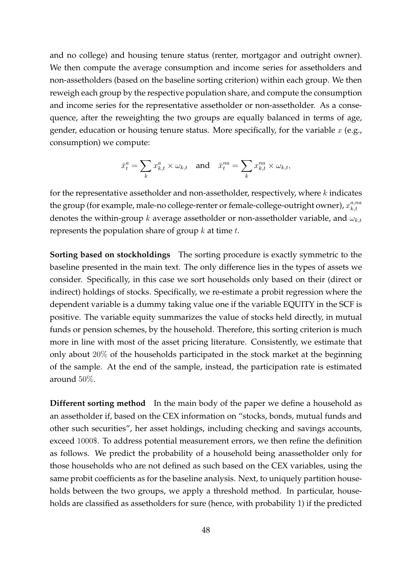and no college) and housing tenure status (renter, mortgagor and outright owner). We then compute the average consumption and income series for assetholders and non-assetholders (based on the baseline sorting criterion) within each group. We then reweigh each group by the respective population share, and compute the consumption and income series for the representative assetholder or non-assetholder. As a consequence, after the reweighting the two groups are equally balanced in terms of age, gender, education or housing tenure status. More specifically, for the variable  $x$  (e.g., consumption) we compute:

$$
\bar{x}_t^a = \sum_k x_{k,t}^a \times \omega_{k,t} \quad \text{and} \quad \bar{x}_t^{na} = \sum_k x_{k,t}^{na} \times \omega_{k,t},
$$

for the representative assetholder and non-assetholder, respectively, where  $k$  indicates the group (for example, male-no college-renter or female-college-outright owner),  $x_{k,t}^{a,na}$  $k,t$ denotes the within-group k average assetholder or non-assetholder variable, and  $\omega_{k,t}$ represents the population share of group  $k$  at time  $t$ .

**Sorting based on stockholdings** The sorting procedure is exactly symmetric to the baseline presented in the main text. The only difference lies in the types of assets we consider. Specifically, in this case we sort households only based on their (direct or indirect) holdings of stocks. Specifically, we re-estimate a probit regression where the dependent variable is a dummy taking value one if the variable EQUITY in the SCF is positive. The variable equity summarizes the value of stocks held directly, in mutual funds or pension schemes, by the household. Therefore, this sorting criterion is much more in line with most of the asset pricing literature. Consistently, we estimate that only about 20% of the households participated in the stock market at the beginning of the sample. At the end of the sample, instead, the participation rate is estimated around 50%.

**Different sorting method** In the main body of the paper we define a household as an assetholder if, based on the CEX information on "stocks, bonds, mutual funds and other such securities", her asset holdings, including checking and savings accounts, exceed 1000\$. To address potential measurement errors, we then refine the definition as follows. We predict the probability of a household being anassetholder only for those households who are not defined as such based on the CEX variables, using the same probit coefficients as for the baseline analysis. Next, to uniquely partition households between the two groups, we apply a threshold method. In particular, households are classified as assetholders for sure (hence, with probability 1) if the predicted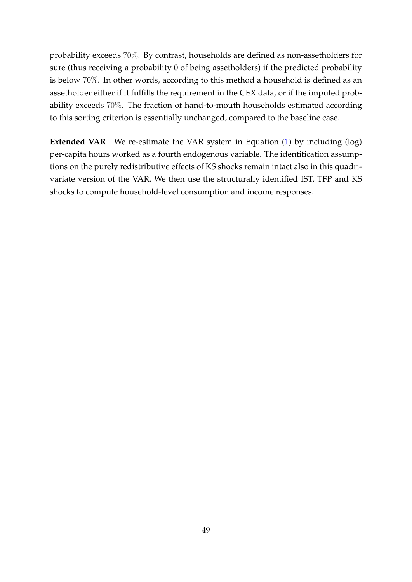probability exceeds 70%. By contrast, households are defined as non-assetholders for sure (thus receiving a probability 0 of being assetholders) if the predicted probability is below 70%. In other words, according to this method a household is defined as an assetholder either if it fulfills the requirement in the CEX data, or if the imputed probability exceeds 70%. The fraction of hand-to-mouth households estimated according to this sorting criterion is essentially unchanged, compared to the baseline case.

**Extended VAR** We re-estimate the VAR system in Equation [\(1\)](#page-10-1) by including (log) per-capita hours worked as a fourth endogenous variable. The identification assumptions on the purely redistributive effects of KS shocks remain intact also in this quadrivariate version of the VAR. We then use the structurally identified IST, TFP and KS shocks to compute household-level consumption and income responses.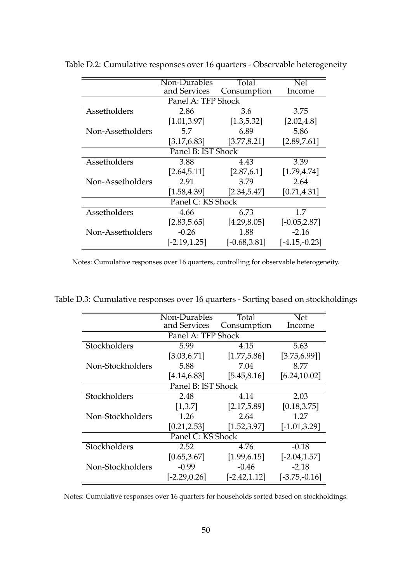|                    | Non-Durables       | Total           | <b>Net</b>      |
|--------------------|--------------------|-----------------|-----------------|
|                    | and Services       | Consumption     | Income          |
|                    | Panel A: TFP Shock |                 |                 |
| Assetholders       | 2.86               | 3.6             | 3.75            |
|                    | [1.01, 3.97]       | [1.3, 5.32]     | [2.02, 4.8]     |
| Non-Assetholders   | 5.7                | 6.89            | 5.86            |
|                    | [3.17, 6.83]       | [3.77, 8.21]    | [2.89, 7.61]    |
| Panel B: IST Shock |                    |                 |                 |
| Assetholders       | 3.88               | 4.43            | 3.39            |
|                    | [2.64, 5.11]       | [2.87, 6.1]     | [1.79, 4.74]    |
| Non-Assetholders   | 2.91               | 3.79            | 2.64            |
|                    | [1.58, 4.39]       | [2.34, 5.47]    | [0.71, 4.31]    |
| Panel C: KS Shock  |                    |                 |                 |
| Assetholders       | 4.66               | 6.73            | 1.7             |
|                    | [2.83, 5.65]       | [4.29, 8.05]    | $[-0.05, 2.87]$ |
| Non-Assetholders   | $-0.26$            | 1.88            | $-2.16$         |
|                    | $[-2.19, 1.25]$    | $[-0.68, 3.81]$ | $[-4.15,-0.23]$ |

<span id="page-50-0"></span>Table D.2: Cumulative responses over 16 quarters - Observable heterogeneity

Notes: Cumulative responses over 16 quarters, controlling for observable heterogeneity.

<span id="page-50-1"></span>Table D.3: Cumulative responses over 16 quarters - Sorting based on stockholdings

|                    | Non-Durables       | Total           | <b>Net</b>      |
|--------------------|--------------------|-----------------|-----------------|
|                    | and Services       | Consumption     | Income          |
|                    | Panel A: TFP Shock |                 |                 |
| Stockholders       | 5.99               | 4.15            | 5.63            |
|                    | [3.03, 6.71]       | [1.77, 5.86]    | [3.75, 6.99]    |
| Non-Stockholders   | 5.88               | 7.04            | 8.77            |
|                    | [4.14, 6.83]       | [5.45, 8.16]    | [6.24, 10.02]   |
| Panel B: IST Shock |                    |                 |                 |
| Stockholders       | 2.48               | 4.14            | 2.03            |
|                    | [1,3.7]            | [2.17, 5.89]    | [0.18, 3.75]    |
| Non-Stockholders   | 1.26               | 2.64            | 1.27            |
|                    | [0.21, 2.53]       | [1.52, 3.97]    | $[-1.01, 3.29]$ |
| Panel C: KS Shock  |                    |                 |                 |
| Stockholders       | 2.52               | 4.76            | $-0.18$         |
|                    | [0.65, 3.67]       | [1.99, 6.15]    | $[-2.04, 1.57]$ |
| Non-Stockholders   | $-0.99$            | $-0.46$         | $-2.18$         |
|                    | $[-2.29, 0.26]$    | $[-2.42, 1.12]$ | $[-3.75,-0.16]$ |

Notes: Cumulative responses over 16 quarters for households sorted based on stockholdings.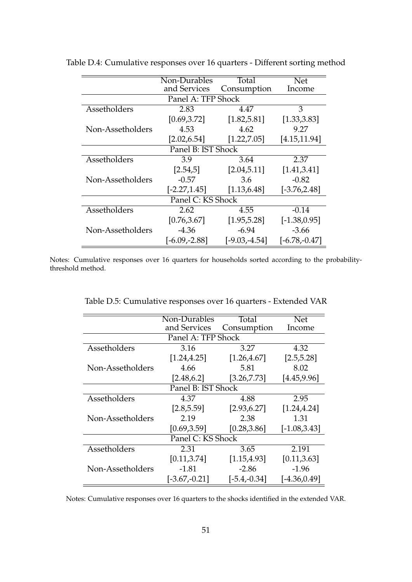|                    | Non-Durables       | Total           | <b>Net</b>      |
|--------------------|--------------------|-----------------|-----------------|
|                    | and Services       | Consumption     | Income          |
|                    | Panel A: TFP Shock |                 |                 |
| Assetholders       | 2.83               | 4.47            | 3               |
|                    | [0.69, 3.72]       | [1.82, 5.81]    | [1.33, 3.83]    |
| Non-Assetholders   | 4.53               | 4.62            | 9.27            |
|                    | [2.02, 6.54]       | [1.22, 7.05]    | [4.15, 11.94]   |
| Panel B: IST Shock |                    |                 |                 |
| Assetholders       | 3.9                | 3.64            | 2.37            |
|                    | [2.54, 5]          | [2.04, 5.11]    | [1.41, 3.41]    |
| Non-Assetholders   | $-0.57$            | 3.6             | $-0.82$         |
|                    | $[-2.27, 1.45]$    | [1.13, 6.48]    | $[-3.76, 2.48]$ |
| Panel C: KS Shock  |                    |                 |                 |
| Assetholders       | 2.62               | 4.55            | $-0.14$         |
|                    | [0.76, 3.67]       | [1.95, 5.28]    | $[-1.38, 0.95]$ |
| Non-Assetholders   | $-4.36$            | $-6.94$         | $-3.66$         |
|                    | $[-6.09,-2.88]$    | $[-9.03,-4.54]$ | $[-6.78,-0.47]$ |

<span id="page-51-0"></span>Table D.4: Cumulative responses over 16 quarters - Different sorting method

Notes: Cumulative responses over 16 quarters for households sorted according to the probabilitythreshold method.

<span id="page-51-1"></span>

|                    | Non-Durables       | Total          | <b>Net</b>      |
|--------------------|--------------------|----------------|-----------------|
|                    | and Services       | Consumption    | Income          |
|                    | Panel A: TFP Shock |                |                 |
| Assetholders       | 3.16               | 3.27           | 4.32            |
|                    | [1.24, 4.25]       | [1.26, 4.67]   | [2.5, 5.28]     |
| Non-Assetholders   | 4.66               | 5.81           | 8.02            |
|                    | [2.48, 6.2]        | [3.26, 7.73]   | [4.45, 9.96]    |
| Panel B: IST Shock |                    |                |                 |
| Assetholders       | 4.37               | 4.88           | 2.95            |
|                    | [2.8, 5.59]        | [2.93, 6.27]   | [1.24, 4.24]    |
| Non-Assetholders   | 2.19               | 2.38           | 1.31            |
|                    | [0.69, 3.59]       | [0.28, 3.86]   | $[-1.08, 3.43]$ |
|                    | Panel C: KS Shock  |                |                 |
| Assetholders       | 2.31               | 3.65           | 2.191           |
|                    | [0.11, 3.74]       | [1.15, 4.93]   | [0.11, 3.63]    |
| Non-Assetholders   | -1.81              | $-2.86$        | $-1.96$         |
|                    | $[-3.67,-0.21]$    | $[-5.4,-0.34]$ | $[-4.36, 0.49]$ |

Table D.5: Cumulative responses over 16 quarters - Extended VAR

Notes: Cumulative responses over 16 quarters to the shocks identified in the extended VAR.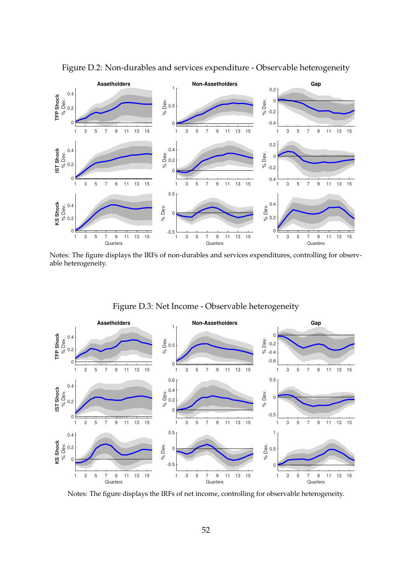<span id="page-52-0"></span>

Figure D.2: Non-durables and services expenditure - Observable heterogeneity

Notes: The figure displays the IRFs of non-durables and services expenditures, controlling for observable heterogeneity.

<span id="page-52-1"></span>

Figure D.3: Net Income - Observable heterogeneity

Notes: The figure displays the IRFs of net income, controlling for observable heterogeneity.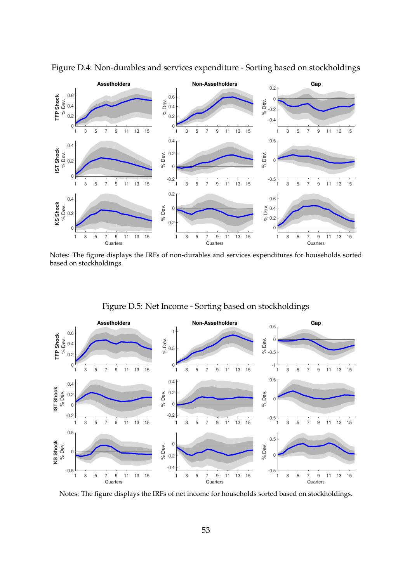<span id="page-53-0"></span>

Figure D.4: Non-durables and services expenditure - Sorting based on stockholdings

Notes: The figure displays the IRFs of non-durables and services expenditures for households sorted based on stockholdings.

<span id="page-53-1"></span>

Figure D.5: Net Income - Sorting based on stockholdings

Notes: The figure displays the IRFs of net income for households sorted based on stockholdings.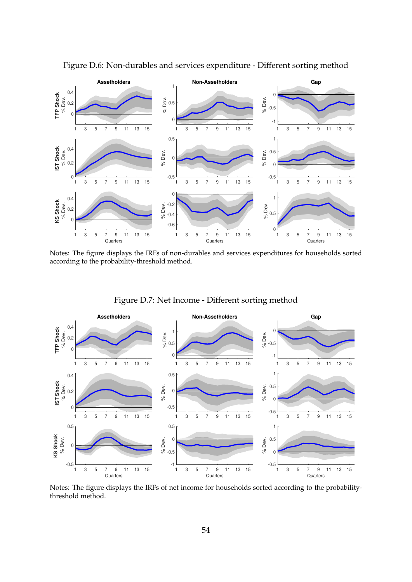<span id="page-54-0"></span>

Figure D.6: Non-durables and services expenditure - Different sorting method

Notes: The figure displays the IRFs of non-durables and services expenditures for households sorted according to the probability-threshold method.

<span id="page-54-1"></span>

Figure D.7: Net Income - Different sorting method

Notes: The figure displays the IRFs of net income for households sorted according to the probabilitythreshold method.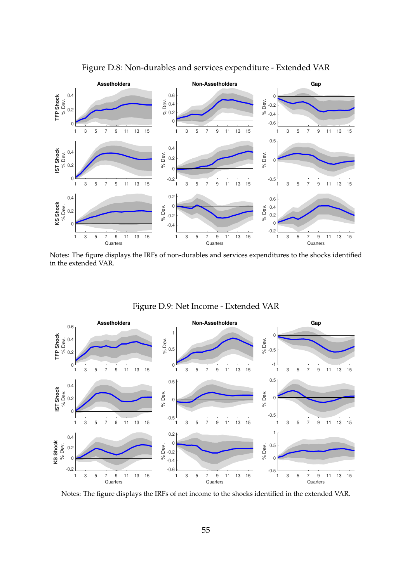<span id="page-55-0"></span>

Figure D.8: Non-durables and services expenditure - Extended VAR

Notes: The figure displays the IRFs of non-durables and services expenditures to the shocks identified in the extended VAR.

<span id="page-55-1"></span>

Figure D.9: Net Income - Extended VAR

Notes: The figure displays the IRFs of net income to the shocks identified in the extended VAR.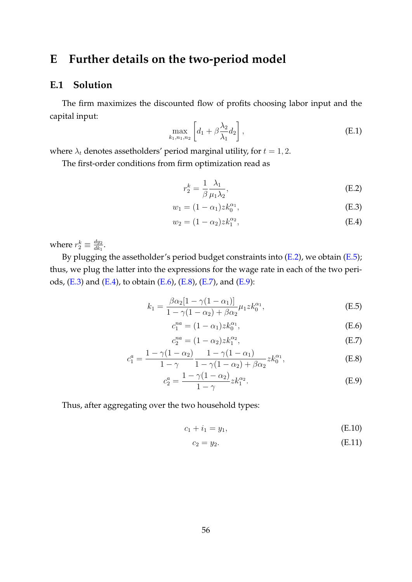# **E Further details on the two-period model**

### <span id="page-56-0"></span>**E.1 Solution**

The firm maximizes the discounted flow of profits choosing labor input and the capital input:

$$
\max_{k_1,n_1,n_2} \left[ d_1 + \beta \frac{\lambda_2}{\lambda_1} d_2 \right],
$$
\n(E.1)

where  $\lambda_t$  denotes assetholders' period marginal utility, for  $t = 1, 2$ .

The first-order conditions from firm optimization read as

<span id="page-56-5"></span><span id="page-56-4"></span><span id="page-56-2"></span>
$$
r_2^k = \frac{1}{\beta} \frac{\lambda_1}{\mu_1 \lambda_2},\tag{E.2}
$$

$$
w_1 = (1 - \alpha_1) z k_0^{\alpha_1}, \tag{E.3}
$$

$$
w_2 = (1 - \alpha_2) z k_1^{\alpha_2}, \tag{E.4}
$$

where  $r_2^k \equiv \frac{dy_2}{dk_1}$  $\frac{ay_2}{dk_1}$ .

By plugging the assetholder's period budget constraints into [\(E.2\)](#page-56-2), we obtain [\(E.5\)](#page-56-3); thus, we plug the latter into the expressions for the wage rate in each of the two periods, [\(E.3\)](#page-56-4) and [\(E.4\)](#page-56-5), to obtain [\(E.6\)](#page-56-6), [\(E.8\)](#page-56-7), [\(E.7\)](#page-56-8), and [\(E.9\)](#page-56-9):

$$
k_1 = \frac{\beta \alpha_2 [1 - \gamma (1 - \alpha_1)]}{1 - \gamma (1 - \alpha_2) + \beta \alpha_2} \mu_1 z k_0^{\alpha_1},
$$
 (E.5)

<span id="page-56-6"></span><span id="page-56-3"></span>
$$
c_1^{na} = (1 - \alpha_1) z k_0^{\alpha_1}, \tag{E.6}
$$

<span id="page-56-8"></span><span id="page-56-7"></span>
$$
c_2^{na} = (1 - \alpha_2) z k_1^{\alpha_2}, \tag{E.7}
$$

$$
c_1^a = \frac{1 - \gamma(1 - \alpha_2)}{1 - \gamma} \frac{1 - \gamma(1 - \alpha_1)}{1 - \gamma(1 - \alpha_2) + \beta \alpha_2} z k_0^{\alpha_1},
$$
(E.8)

$$
c_2^a = \frac{1 - \gamma (1 - \alpha_2)}{1 - \gamma} z k_1^{\alpha_2}.
$$
 (E.9)

<span id="page-56-1"></span>Thus, after aggregating over the two household types:

$$
c_1 + i_1 = y_1,\tag{E.10}
$$

<span id="page-56-9"></span>
$$
c_2 = y_2. \tag{E.11}
$$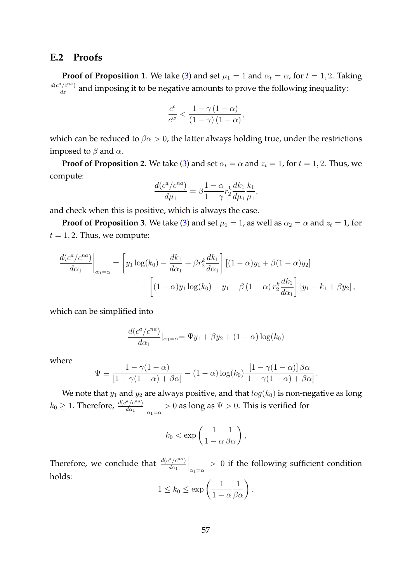### **E.2 Proofs**

**Proof of Proposition 1**. We take [\(3\)](#page-21-0) and set  $\mu_1 = 1$  and  $\alpha_t = \alpha$ , for  $t = 1, 2$ . Taking  $\frac{d(c^a/c^{na})}{dz}$  and imposing it to be negative amounts to prove the following inequality:

$$
\frac{c^{c}}{c^{w}} < \frac{1 - \gamma \left( 1 - \alpha \right)}{\left( 1 - \gamma \right) \left( 1 - \alpha \right)},
$$

which can be reduced to  $\beta \alpha > 0$ , the latter always holding true, under the restrictions imposed to  $\beta$  and  $\alpha$ .

**Proof of Proposition 2**. We take [\(3\)](#page-21-0) and set  $\alpha_t = \alpha$  and  $z_t = 1$ , for  $t = 1, 2$ . Thus, we compute:

$$
\frac{d(c^{a}/c^{na})}{d\mu_1} = \beta \frac{1-\alpha}{1-\gamma} r_2^k \frac{dk_1}{d\mu_1} \frac{k_1}{\mu_1},
$$

and check when this is positive, which is always the case.

**Proof of Proposition 3**. We take [\(3\)](#page-21-0) and set  $\mu_1 = 1$ , as well as  $\alpha_2 = \alpha$  and  $z_t = 1$ , for  $t = 1, 2$ . Thus, we compute:

$$
\frac{d(c^a/c^{na})}{d\alpha_1}\Big|_{\alpha_1=\alpha} = \left[y_1 \log(k_0) - \frac{dk_1}{d\alpha_1} + \beta r_2^k \frac{dk_1}{d\alpha_1}\right] \left[(1-\alpha)y_1 + \beta(1-\alpha)y_2\right] \n- \left[(1-\alpha)y_1 \log(k_0) - y_1 + \beta(1-\alpha)r_2^k \frac{dk_1}{d\alpha_1}\right] \left[y_1 - k_1 + \beta y_2\right],
$$

which can be simplified into

$$
\frac{d(c^{a}/c^{na})}{d\alpha_1}|_{\alpha_1=\alpha} = \Psi y_1 + \beta y_2 + (1-\alpha)\log(k_0)
$$

where

$$
\Psi \equiv \frac{1 - \gamma(1 - \alpha)}{[1 - \gamma(1 - \alpha) + \beta\alpha]} - (1 - \alpha)\log(k_0)\frac{[1 - \gamma(1 - \alpha)]\beta\alpha}{[1 - \gamma(1 - \alpha) + \beta\alpha]}.
$$

We note that  $y_1$  and  $y_2$  are always positive, and that  $log(k_0)$  is non-negative as long  $k_0 \geq 1$ . Therefore,  $\frac{d(c^a/c^{na})}{d\alpha_1}$  $d\alpha_1$  $\Big|_{\alpha_1=\alpha} > 0$  as long as  $\Psi > 0$ . This is verified for

$$
k_0 < \exp\left(\frac{1}{1-\alpha}\frac{1}{\beta\alpha}\right),
$$

Therefore, we conclude that  $\frac{d(c^a/c^{na})}{d\alpha_1}$  $d\alpha_1$  $\Big|_{\alpha_1=\alpha}$  > 0 if the following sufficient condition holds:

$$
1 \le k_0 \le \exp\left(\frac{1}{1-\alpha}\frac{1}{\beta\alpha}\right).
$$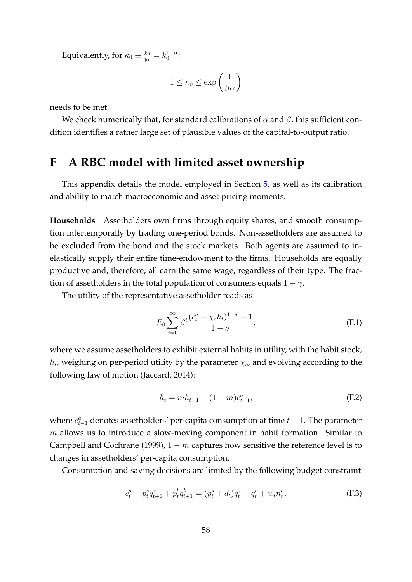Equivalently, for  $\kappa_0 \equiv \frac{k_0}{n_1}$  $\frac{k_0}{y_1} = k_0^{1-\alpha}$ :

$$
1 \le \kappa_0 \le \exp\left(\frac{1}{\beta \alpha}\right)
$$

needs to be met.

We check numerically that, for standard calibrations of  $\alpha$  and  $\beta$ , this sufficient condition identifies a rather large set of plausible values of the capital-to-output ratio.

### <span id="page-58-0"></span>**F A RBC model with limited asset ownership**

This appendix details the model employed in Section [5,](#page-24-0) as well as its calibration and ability to match macroeconomic and asset-pricing moments.

**Households** Assetholders own firms through equity shares, and smooth consumption intertemporally by trading one-period bonds. Non-assetholders are assumed to be excluded from the bond and the stock markets. Both agents are assumed to inelastically supply their entire time-endowment to the firms. Households are equally productive and, therefore, all earn the same wage, regardless of their type. The fraction of assetholders in the total population of consumers equals  $1 - \gamma$ .

The utility of the representative assetholder reads as

$$
E_0 \sum_{t=0}^{\infty} \beta^t \frac{(c_t^a - \chi_c h_t)^{1-\sigma} - 1}{1 - \sigma},
$$
 (F.1)

where we assume assetholders to exhibit external habits in utility, with the habit stock,  $h_t$ , weighing on per-period utility by the parameter  $\chi_c$ , and evolving according to the following law of motion [\(Jaccard,](#page-34-13) [2014\)](#page-34-13):

$$
h_t = mh_{t-1} + (1 - m)c_{t-1}^a,
$$
\n(F.2)

where  $c_{t-1}^a$  denotes assetholders' per-capita consumption at time  $t-1$ . The parameter  $m$  allows us to introduce a slow-moving component in habit formation. Similar to [Campbell and Cochrane](#page-32-12) [\(1999\)](#page-32-12),  $1 - m$  captures how sensitive the reference level is to changes in assetholders' per-capita consumption.

Consumption and saving decisions are limited by the following budget constraint

<span id="page-58-1"></span>
$$
c_t^a + p_t^s q_{t+1}^s + p_t^b q_{t+1}^b = (p_t^s + d_t)q_t^s + q_t^b + w_t n_t^a.
$$
 (F.3)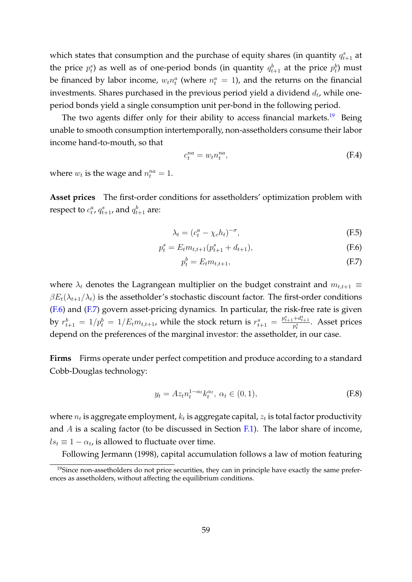which states that consumption and the purchase of equity shares (in quantity  $q_{t+1}^s$  at the price  $p_t^s$ ) as well as of one-period bonds (in quantity  $q_{t+1}^b$  at the price  $p_t^b$ ) must be financed by labor income,  $w_t n_t^a$  (where  $n_t^a = 1$ ), and the returns on the financial investments. Shares purchased in the previous period yield a dividend  $d_t$ , while oneperiod bonds yield a single consumption unit per-bond in the following period.

The two agents differ only for their ability to access financial markets.<sup>[19](#page-59-0)</sup> Being unable to smooth consumption intertemporally, non-assetholders consume their labor income hand-to-mouth, so that

<span id="page-59-4"></span>
$$
c_t^{na} = w_t n_t^{na},\tag{F.4}
$$

where  $w_t$  is the wage and  $n_t^{na} = 1$ .

**Asset prices** The first-order conditions for assetholders' optimization problem with respect to  $c_t^a$ ,  $q_{t+1}^s$ , and  $q_{t+1}^b$  are:

$$
\lambda_t = (c_t^a - \chi_c h_t)^{-\sigma},\tag{F.5}
$$

$$
p_t^s = E_t m_{t,t+1} (p_{t+1}^s + d_{t+1}),
$$
\n(F.6)

<span id="page-59-5"></span><span id="page-59-2"></span><span id="page-59-1"></span>
$$
p_t^b = E_t m_{t,t+1},\tag{F.7}
$$

where  $\lambda_t$  denotes the Lagrangean multiplier on the budget constraint and  $m_{t,t+1} \equiv$  $\beta E_t(\lambda_{t+1}/\lambda_t)$  is the assetholder's stochastic discount factor. The first-order conditions [\(F.6\)](#page-59-1) and [\(F.7\)](#page-59-2) govern asset-pricing dynamics. In particular, the risk-free rate is given by  $r_{t+1}^b = 1/p_t^b = 1/E_tm_{t,t+1}$ , while the stock return is  $r_{t+1}^s = \frac{p_{t+1}^s + d_{t+1}^s}{p_t^s}$ . Asset prices depend on the preferences of the marginal investor: the assetholder, in our case.

**Firms** Firms operate under perfect competition and produce according to a standard Cobb-Douglas technology:

<span id="page-59-3"></span>
$$
y_t = Az_t n_t^{1-\alpha_t} k_t^{\alpha_t}, \ \alpha_t \in (0,1), \tag{F.8}
$$

where  $n_t$  is aggregate employment,  $k_t$  is aggregate capital,  $z_t$  is total factor productivity and  $A$  is a scaling factor (to be discussed in Section [F.1\)](#page-62-0). The labor share of income,  $ls_t \equiv 1 - \alpha_t$ , is allowed to fluctuate over time.

Following [Jermann](#page-34-0) [\(1998\)](#page-34-0), capital accumulation follows a law of motion featuring

<span id="page-59-0"></span><sup>&</sup>lt;sup>19</sup>Since non-assetholders do not price securities, they can in principle have exactly the same preferences as assetholders, without affecting the equilibrium conditions.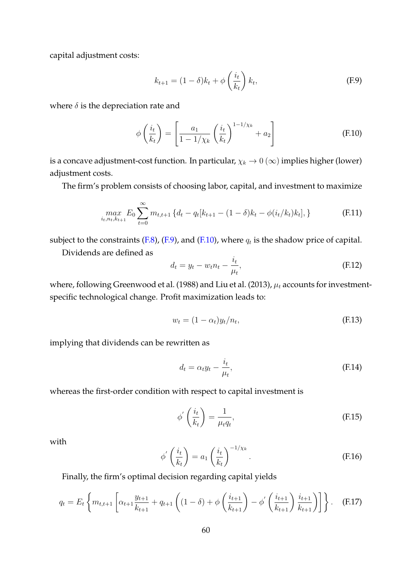capital adjustment costs:

<span id="page-60-0"></span>
$$
k_{t+1} = (1 - \delta)k_t + \phi\left(\frac{i_t}{k_t}\right)k_t,
$$
 (F.9)

where  $\delta$  is the depreciation rate and

<span id="page-60-1"></span>
$$
\phi\left(\frac{i_t}{k_t}\right) = \left[\frac{a_1}{1 - 1/\chi_k} \left(\frac{i_t}{k_t}\right)^{1 - 1/\chi_k} + a_2\right]
$$
(F.10)

is a concave adjustment-cost function. In particular,  $\chi_k \to 0$  ( $\infty$ ) implies higher (lower) adjustment costs.

The firm's problem consists of choosing labor, capital, and investment to maximize

$$
\max_{i_t, n_t, k_{t+1}} E_0 \sum_{t=0}^{\infty} m_{t, t+1} \left\{ d_t - q_t [k_{t+1} - (1 - \delta) k_t - \phi(i_t / k_t) k_t], \right\}
$$
(F.11)

subject to the constraints [\(F.8\)](#page-59-3), [\(F.9\)](#page-60-0), and [\(F.10\)](#page-60-1), where  $q_t$  is the shadow price of capital.

Dividends are defined as

$$
d_t = y_t - w_t n_t - \frac{i_t}{\mu_t},\tag{F.12}
$$

where, following [Greenwood et al.](#page-34-9) [\(1988\)](#page-34-9) and [Liu et al.](#page-35-13) [\(2013\)](#page-35-13),  $\mu_t$  accounts for investmentspecific technological change. Profit maximization leads to:

<span id="page-60-2"></span>
$$
w_t = (1 - \alpha_t) y_t / n_t, \tag{F.13}
$$

implying that dividends can be rewritten as

$$
d_t = \alpha_t y_t - \frac{i_t}{\mu_t},\tag{F.14}
$$

whereas the first-order condition with respect to capital investment is

<span id="page-60-3"></span>
$$
\phi'\left(\frac{i_t}{k_t}\right) = \frac{1}{\mu_t q_t},\tag{F.15}
$$

with

$$
\phi' \left( \frac{i_t}{k_t} \right) = a_1 \left( \frac{i_t}{k_t} \right)^{-1/\chi_k} . \tag{F.16}
$$

Finally, the firm's optimal decision regarding capital yields

<span id="page-60-4"></span>
$$
q_{t} = E_{t} \left\{ m_{t,t+1} \left[ \alpha_{t+1} \frac{y_{t+1}}{k_{t+1}} + q_{t+1} \left( (1-\delta) + \phi \left( \frac{i_{t+1}}{k_{t+1}} \right) - \phi' \left( \frac{i_{t+1}}{k_{t+1}} \right) \frac{i_{t+1}}{k_{t+1}} \right) \right] \right\}.
$$
 (F.17)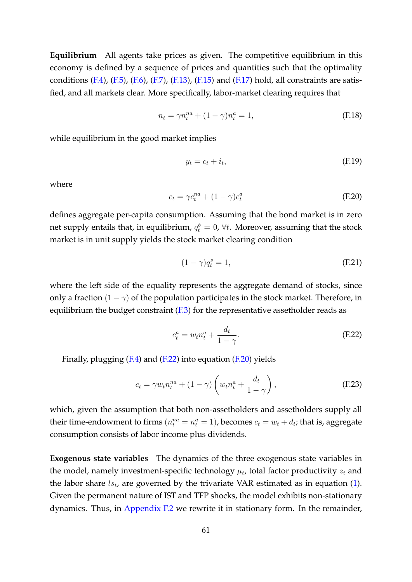**Equilibrium** All agents take prices as given. The competitive equilibrium in this economy is defined by a sequence of prices and quantities such that the optimality conditions  $(F.4)$ ,  $(F.5)$ ,  $(F.6)$ ,  $(F.7)$ ,  $(F.13)$ ,  $(F.15)$  and  $(F.17)$  hold, all constraints are satisfied, and all markets clear. More specifically, labor-market clearing requires that

$$
n_t = \gamma n_t^{na} + (1 - \gamma)n_t^a = 1,
$$
 (F.18)

while equilibrium in the good market implies

$$
y_t = c_t + i_t,\tag{F.19}
$$

where

<span id="page-61-1"></span>
$$
c_t = \gamma c_t^{na} + (1 - \gamma)c_t^a \tag{F.20}
$$

defines aggregate per-capita consumption. Assuming that the bond market is in zero net supply entails that, in equilibrium,  $q_t^b=0$ ,  $\forall t.$  Moreover, assuming that the stock market is in unit supply yields the stock market clearing condition

$$
(1 - \gamma)q_t^s = 1,\tag{F.21}
$$

where the left side of the equality represents the aggregate demand of stocks, since only a fraction  $(1 - \gamma)$  of the population participates in the stock market. Therefore, in equilibrium the budget constraint  $(F.3)$  for the representative assetholder reads as

<span id="page-61-0"></span>
$$
c_t^a = w_t n_t^a + \frac{d_t}{1 - \gamma}.\tag{F.22}
$$

Finally, plugging [\(F.4\)](#page-59-4) and [\(F.22\)](#page-61-0) into equation [\(F.20\)](#page-61-1) yields

$$
c_t = \gamma w_t n_t^{na} + (1 - \gamma) \left( w_t n_t^a + \frac{d_t}{1 - \gamma} \right), \tag{F.23}
$$

which, given the assumption that both non-assetholders and assetholders supply all their time-endowment to firms  $(n_t^{na} = n_t^a = 1)$ , becomes  $c_t = w_t + d_t$ ; that is, aggregate consumption consists of labor income plus dividends.

**Exogenous state variables** The dynamics of the three exogenous state variables in the model, namely investment-specific technology  $\mu_t$ , total factor productivity  $z_t$  and the labor share  $ls_t$ , are governed by the trivariate VAR estimated as in equation [\(1\)](#page-10-1). Given the permanent nature of IST and TFP shocks, the model exhibits non-stationary dynamics. Thus, in [Appendix F.2](#page-65-0) we rewrite it in stationary form. In the remainder,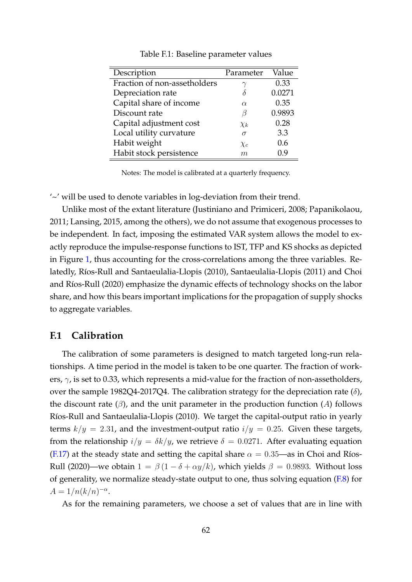| Description                  | Parameter | Value  |
|------------------------------|-----------|--------|
| Fraction of non-assetholders |           | 0.33   |
| Depreciation rate            |           | 0.0271 |
| Capital share of income      | $\alpha$  | 0.35   |
| Discount rate                | ß         | 0.9893 |
| Capital adjustment cost      | $\chi_k$  | 0.28   |
| Local utility curvature      | $\sigma$  | 3.3    |
| Habit weight                 | $\chi_c$  | 0.6    |
| Habit stock persistence      | m         | 0.9    |

Table F.1: Baseline parameter values

Notes: The model is calibrated at a quarterly frequency.

'~' will be used to denote variables in log-deviation from their trend.

Unlike most of the extant literature [\(Justiniano and Primiceri,](#page-34-5) [2008;](#page-34-5) [Papanikolaou,](#page-35-8) [2011;](#page-35-8) [Lansing,](#page-35-7) [2015,](#page-35-7) among the others), we do not assume that exogenous processes to be independent. In fact, imposing the estimated VAR system allows the model to exactly reproduce the impulse-response functions to IST, TFP and KS shocks as depicted in Figure [1,](#page-11-0) thus accounting for the cross-correlations among the three variables. Re-latedly, Ríos-Rull and Santaeulalia-Llopis [\(2010\)](#page-36-2), [Santaeulalia-Llopis](#page-36-0) [\(2011\)](#page-36-0) and [Choi](#page-32-9) and Ríos-Rull [\(2020\)](#page-32-9) emphasize the dynamic effects of technology shocks on the labor share, and how this bears important implications for the propagation of supply shocks to aggregate variables.

### <span id="page-62-0"></span>**F.1 Calibration**

The calibration of some parameters is designed to match targeted long-run relationships. A time period in the model is taken to be one quarter. The fraction of workers,  $\gamma$ , is set to 0.33, which represents a mid-value for the fraction of non-assetholders, over the sample 1982Q4-2017Q4. The calibration strategy for the depreciation rate  $(\delta)$ , the discount rate  $(\beta)$ , and the unit parameter in the production function  $(A)$  follows Ríos-Rull and Santaeulalia-Llopis [\(2010\)](#page-36-2). We target the capital-output ratio in yearly terms  $k/y = 2.31$ , and the investment-output ratio  $i/y = 0.25$ . Given these targets, from the relationship  $i/y = \delta k/y$ , we retrieve  $\delta = 0.0271$ . After evaluating equation [\(F.17\)](#page-60-4) at the steady state and setting the capital share  $\alpha = 0.35$ —as in Choi and Ríos-[Rull](#page-32-9) [\(2020\)](#page-32-9)—we obtain  $1 = \beta(1 - \delta + \alpha y/k)$ , which yields  $\beta = 0.9893$ . Without loss of generality, we normalize steady-state output to one, thus solving equation  $(F.8)$  for  $A = 1/n(k/n)^{-\alpha}.$ 

As for the remaining parameters, we choose a set of values that are in line with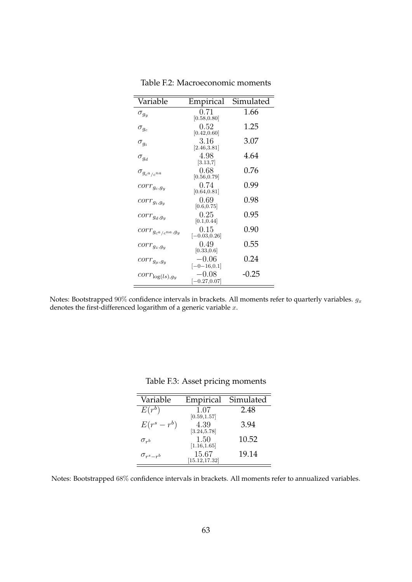<span id="page-63-0"></span>

| Variable                    | Empirical                                    | Simulated |
|-----------------------------|----------------------------------------------|-----------|
| $\sigma_{g_y}$              | 0.71<br>[0.58, 0.80]                         | 1.66      |
| $\sigma_{g_c}$              | 0.52<br>[0.42, 0.60]                         | 1.25      |
| $\sigma_{g_i}$              | 3.16<br>[2.46, 3.81]                         | 3.07      |
| $\sigma_{g_d}$              | 4.98<br>[3.13,7]                             | 4.64      |
| $\sigma_{g_{c^a/c^{na}}}$   | 0.68<br>[0.56, 0.79]                         | 0.76      |
| $corr_{g_c,g_y}$            | 0.74<br>[0.64, 0.81]                         | 0.99      |
| $corr_{g_i,g_y}$            | 0.69<br>[0.6, 0.75]                          | 0.98      |
| $corr_{g_d,g_y}$            | 0.25<br>[0.1, 0.44]                          | 0.95      |
| $corr_{g_{c^a/c^{na}},g_y}$ | 0.15<br>$[-0.03, 0.26]$                      | 0.90      |
| $corr_{g_z,g_y}$            | 0.49<br>[0.33, 0.6]                          | 0.55      |
| $corr_{g_{\mu},g_{y}}$      | $-0.06$                                      | 0.24      |
| $corr_{\log(ls),g_y}$       | $[-0-16, 0.1]$<br>$-0.08$<br>$[-0.27, 0.07]$ | -0.25     |

Table F.2: Macroeconomic moments

Notes: Bootstrapped 90% confidence intervals in brackets. All moments refer to quarterly variables.  $g_x$ denotes the first-differenced logarithm of a generic variable  $x$ .

| Variable           | Empirical                         | Simulated |
|--------------------|-----------------------------------|-----------|
| $E(r^b)$           | 1.07<br>$\left[0.59, 1.57\right]$ | 2.48      |
| $E(r^s-r^b)$       | 4.39<br>[3.24, 5.78]              | 3.94      |
| $\sigma_{r^{b}}$   | 1.50<br>[1.16, 1.65]              | 10.52     |
| $\sigma_{r^s-r^b}$ | 15.67<br>[15.12, 17.32]           | 19.14     |

Table F.3: Asset pricing moments

<span id="page-63-1"></span>Notes: Bootstrapped 68% confidence intervals in brackets. All moments refer to annualized variables.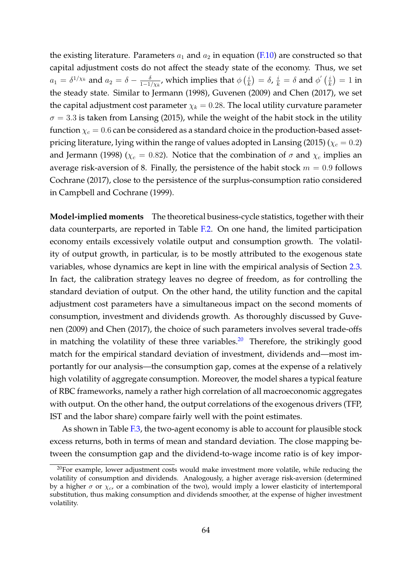the existing literature. Parameters  $a_1$  and  $a_2$  in equation [\(F.10\)](#page-60-1) are constructed so that capital adjustment costs do not affect the steady state of the economy. Thus, we set  $a_1 = \delta^{1/\chi_k}$  and  $a_2 = \delta - \frac{\delta}{1-\delta}$  $\frac{\delta}{1-1/\chi_k}$ , which implies that  $\phi\left(\frac{i}{k}\right)$  $\left(\frac{i}{k}\right) = \delta$ ,  $\frac{i}{k} = \delta$  and  $\phi^{'}\left(\frac{i}{k}\right)$  $\frac{i}{k}$ ) = 1 in the steady state. Similar to [Jermann](#page-34-0) [\(1998\)](#page-34-0), [Guvenen](#page-34-3) [\(2009\)](#page-34-3) and [Chen](#page-32-11) [\(2017\)](#page-32-11), we set the capital adjustment cost parameter  $\chi_k = 0.28$ . The local utility curvature parameter  $\sigma = 3.3$  is taken from [Lansing](#page-35-7) [\(2015\)](#page-35-7), while the weight of the habit stock in the utility function  $\chi_c = 0.6$  can be considered as a standard choice in the production-based asset-pricing literature, lying within the range of values adopted in [Lansing](#page-35-7) [\(2015\)](#page-35-7) ( $\chi_c = 0.2$ ) and [Jermann](#page-34-0) [\(1998\)](#page-34-0) ( $\chi_c = 0.82$ ). Notice that the combination of  $\sigma$  and  $\chi_c$  implies an average risk-aversion of 8. Finally, the persistence of the habit stock  $m = 0.9$  follows [Cochrane](#page-33-13) [\(2017\)](#page-33-13), close to the persistence of the surplus-consumption ratio considered in [Campbell and Cochrane](#page-32-12) [\(1999\)](#page-32-12).

**Model-implied moments** The theoretical business-cycle statistics, together with their data counterparts, are reported in Table [F.2.](#page-63-0) On one hand, the limited participation economy entails excessively volatile output and consumption growth. The volatility of output growth, in particular, is to be mostly attributed to the exogenous state variables, whose dynamics are kept in line with the empirical analysis of Section [2.3.](#page-9-0) In fact, the calibration strategy leaves no degree of freedom, as for controlling the standard deviation of output. On the other hand, the utility function and the capital adjustment cost parameters have a simultaneous impact on the second moments of consumption, investment and dividends growth. As thoroughly discussed by [Guve](#page-34-3)[nen](#page-34-3) [\(2009\)](#page-34-3) and [Chen](#page-32-11) [\(2017\)](#page-32-11), the choice of such parameters involves several trade-offs in matching the volatility of these three variables.<sup>[20](#page-64-0)</sup> Therefore, the strikingly good match for the empirical standard deviation of investment, dividends and—most importantly for our analysis—the consumption gap, comes at the expense of a relatively high volatility of aggregate consumption. Moreover, the model shares a typical feature of RBC frameworks, namely a rather high correlation of all macroeconomic aggregates with output. On the other hand, the output correlations of the exogenous drivers (TFP, IST and the labor share) compare fairly well with the point estimates.

As shown in Table [F.3,](#page-63-1) the two-agent economy is able to account for plausible stock excess returns, both in terms of mean and standard deviation. The close mapping between the consumption gap and the dividend-to-wage income ratio is of key impor-

<span id="page-64-0"></span> $20$ For example, lower adjustment costs would make investment more volatile, while reducing the volatility of consumption and dividends. Analogously, a higher average risk-aversion (determined by a higher  $\sigma$  or  $\chi_c$ , or a combination of the two), would imply a lower elasticity of intertemporal substitution, thus making consumption and dividends smoother, at the expense of higher investment volatility.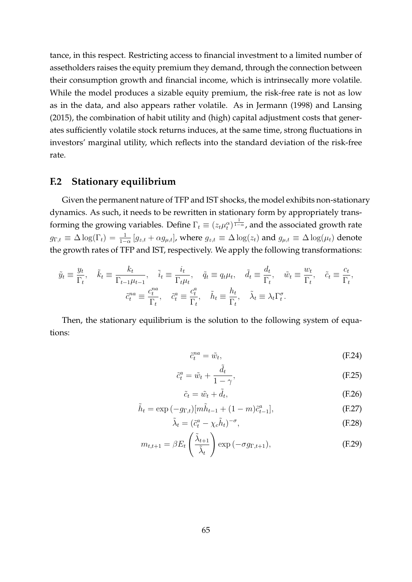tance, in this respect. Restricting access to financial investment to a limited number of assetholders raises the equity premium they demand, through the connection between their consumption growth and financial income, which is intrinsecally more volatile. While the model produces a sizable equity premium, the risk-free rate is not as low as in the data, and also appears rather volatile. As in [Jermann](#page-34-0) [\(1998\)](#page-34-0) and [Lansing](#page-35-7) [\(2015\)](#page-35-7), the combination of habit utility and (high) capital adjustment costs that generates sufficiently volatile stock returns induces, at the same time, strong fluctuations in investors' marginal utility, which reflects into the standard deviation of the risk-free rate.

### <span id="page-65-0"></span>**F.2 Stationary equilibrium**

Given the permanent nature of TFP and IST shocks, the model exhibits non-stationary dynamics. As such, it needs to be rewritten in stationary form by appropriately transforming the growing variables. Define  $\Gamma_t \equiv (z_t \mu_t^\alpha)^{\frac{1}{1-\alpha}}$ , and the associated growth rate  $g_{\Gamma,t}\equiv\Delta\log(\Gamma_t)=\frac{1}{1-\alpha}\left[g_{z,t}+\alpha g_{\mu,t}\right]$ , where  $g_{z,t}\equiv\Delta\log(z_t)$  and  $g_{\mu,t}\equiv\Delta\log(\mu_t)$  denote the growth rates of TFP and IST, respectively. We apply the following transformations:

$$
\tilde{y}_t \equiv \frac{y_t}{\Gamma_t}, \quad \tilde{k}_t \equiv \frac{k_t}{\Gamma_{t-1}\mu_{t-1}}, \quad \tilde{i}_t \equiv \frac{i_t}{\Gamma_t\mu_t}, \quad \tilde{q}_t \equiv q_t\mu_t, \quad \tilde{d}_t \equiv \frac{d_t}{\Gamma_t}, \quad \tilde{w}_t \equiv \frac{w_t}{\Gamma_t}, \quad \tilde{c}_t \equiv \frac{c_t}{\Gamma_t},
$$

$$
\tilde{c}_t^{na} \equiv \frac{c_t^{na}}{\Gamma_t}, \quad \tilde{c}_t^{a} \equiv \frac{c_t^{a}}{\Gamma_t}, \quad \tilde{h}_t \equiv \frac{h_t}{\Gamma_t}, \quad \tilde{\lambda}_t \equiv \lambda_t \Gamma_t^{\sigma}.
$$

Then, the stationary equilibrium is the solution to the following system of equations:

$$
\tilde{c}_t^{na} = \tilde{w}_t,\tag{F.24}
$$

$$
\tilde{c}_t^a = \tilde{w}_t + \frac{\tilde{d}_t}{1 - \gamma},\tag{F.25}
$$

$$
\tilde{c}_t = \tilde{w}_t + \tilde{d}_t, \tag{F.26}
$$

$$
\tilde{h}_t = \exp(-g_{\Gamma,t})[m\tilde{h}_{t-1} + (1-m)\tilde{c}_{t-1}^a],
$$
\n(F.27)

$$
\tilde{\lambda}_t = (\tilde{c}_t^a - \chi_c \tilde{h}_t)^{-\sigma},\tag{F.28}
$$

$$
m_{t,t+1} = \beta E_t \left( \frac{\tilde{\lambda}_{t+1}}{\tilde{\lambda}_t} \right) \exp\left(-\sigma g_{\Gamma,t+1}\right),\tag{F.29}
$$